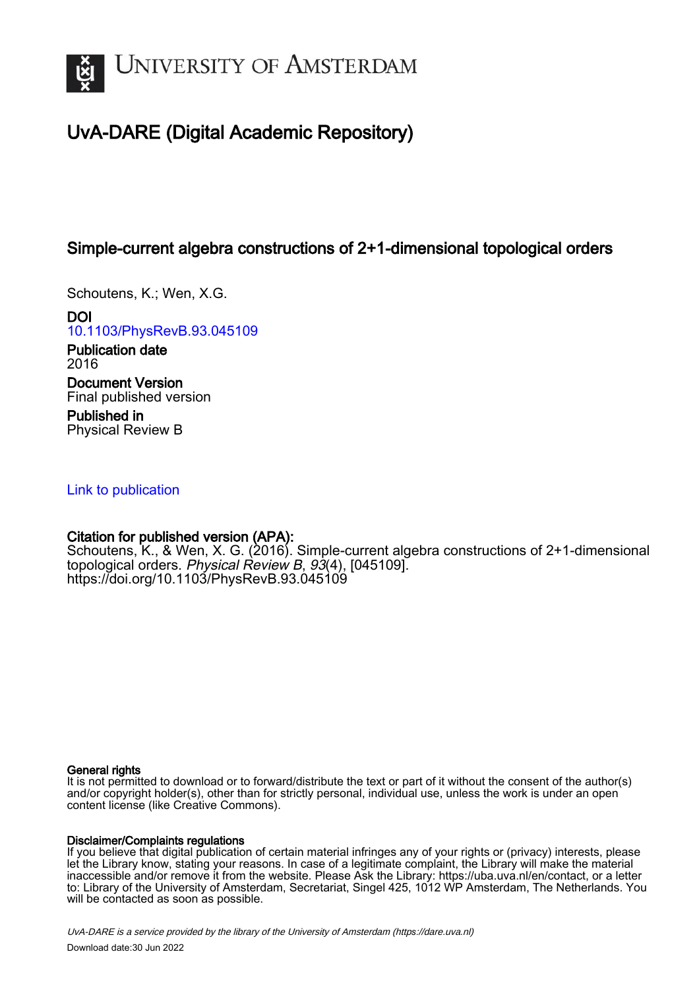

# UvA-DARE (Digital Academic Repository)

# Simple-current algebra constructions of 2+1-dimensional topological orders

Schoutens, K.; Wen, X.G.

DOI [10.1103/PhysRevB.93.045109](https://doi.org/10.1103/PhysRevB.93.045109)

Publication date 2016 Document Version Final published version

Published in Physical Review B

# [Link to publication](https://dare.uva.nl/personal/pure/en/publications/simplecurrent-algebra-constructions-of-21dimensional-topological-orders(86007d37-40bd-4134-aeec-139e4bc52513).html)

# Citation for published version (APA):

Schoutens, K., & Wen, X. G. (2016). Simple-current algebra constructions of 2+1-dimensional topological orders. Physical Review B, 93(4), [045109]. <https://doi.org/10.1103/PhysRevB.93.045109>

# General rights

It is not permitted to download or to forward/distribute the text or part of it without the consent of the author(s) and/or copyright holder(s), other than for strictly personal, individual use, unless the work is under an open content license (like Creative Commons).

# Disclaimer/Complaints regulations

If you believe that digital publication of certain material infringes any of your rights or (privacy) interests, please let the Library know, stating your reasons. In case of a legitimate complaint, the Library will make the material inaccessible and/or remove it from the website. Please Ask the Library: https://uba.uva.nl/en/contact, or a letter to: Library of the University of Amsterdam, Secretariat, Singel 425, 1012 WP Amsterdam, The Netherlands. You will be contacted as soon as possible.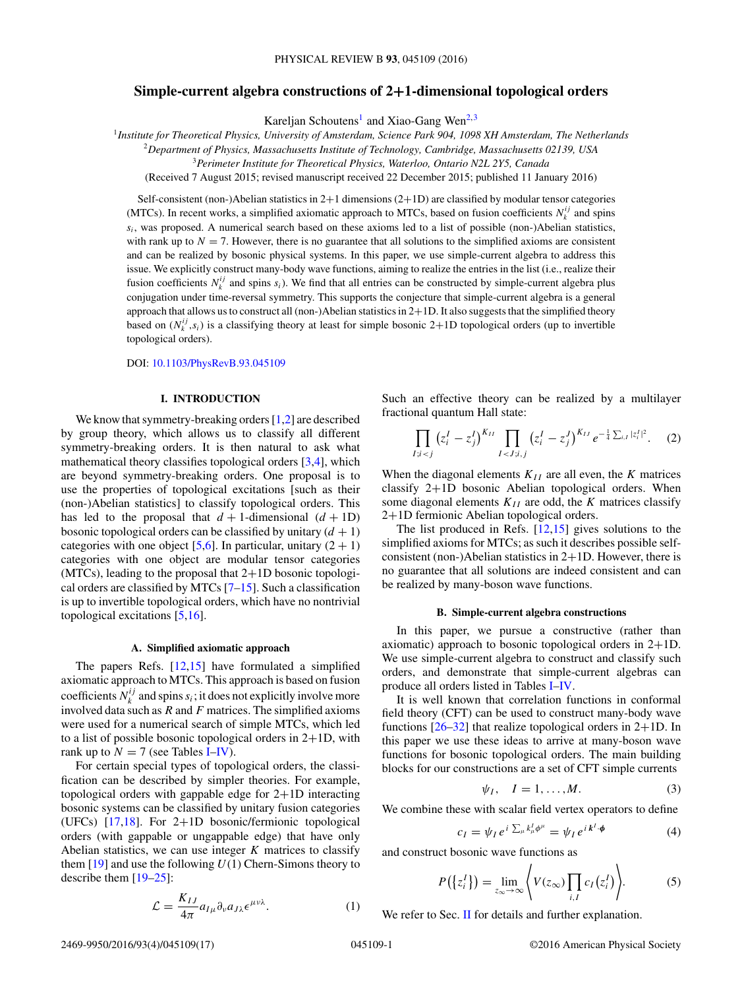# <span id="page-1-0"></span>**Simple-current algebra constructions of 2+1-dimensional topological orders**

Kareljan Schoutens<sup>1</sup> and Xiao-Gang Wen<sup>2,3</sup>

<sup>1</sup>*Institute for Theoretical Physics, University of Amsterdam, Science Park 904, 1098 XH Amsterdam, The Netherlands*

<sup>2</sup>*Department of Physics, Massachusetts Institute of Technology, Cambridge, Massachusetts 02139, USA*

<sup>3</sup>*Perimeter Institute for Theoretical Physics, Waterloo, Ontario N2L 2Y5, Canada*

(Received 7 August 2015; revised manuscript received 22 December 2015; published 11 January 2016)

Self-consistent (non-)Abelian statistics in 2+1 dimensions (2+1D) are classified by modular tensor categories (MTCs). In recent works, a simplified axiomatic approach to MTCs, based on fusion coefficients  $N_k^{ij}$  and spins  $s_i$ , was proposed. A numerical search based on these axioms led to a list of possible (non-)Abelian statistics, with rank up to  $N = 7$ . However, there is no guarantee that all solutions to the simplified axioms are consistent and can be realized by bosonic physical systems. In this paper, we use simple-current algebra to address this issue. We explicitly construct many-body wave functions, aiming to realize the entries in the list (i.e., realize their fusion coefficients  $N_k^{ij}$  and spins  $s_i$ ). We find that all entries can be constructed by simple-current algebra plus conjugation under time-reversal symmetry. This supports the conjecture that simple-current algebra is a general approach that allows us to construct all (non-)Abelian statistics in 2+1D. It also suggests that the simplified theory based on  $(N_k^{ij}, s_i)$  is a classifying theory at least for simple bosonic 2+1D topological orders (up to invertible topological orders).

DOI: [10.1103/PhysRevB.93.045109](http://dx.doi.org/10.1103/PhysRevB.93.045109)

#### **I. INTRODUCTION**

We know that symmetry-breaking orders [\[1,2\]](#page-17-0) are described by group theory, which allows us to classify all different symmetry-breaking orders. It is then natural to ask what mathematical theory classifies topological orders [\[3,4\]](#page-17-0), which are beyond symmetry-breaking orders. One proposal is to use the properties of topological excitations [such as their (non-)Abelian statistics] to classify topological orders. This has led to the proposal that  $d + 1$ -dimensional  $(d + 1D)$ bosonic topological orders can be classified by unitary  $(d + 1)$ categories with one object [\[5,6\]](#page-17-0). In particular, unitary  $(2 + 1)$ categories with one object are modular tensor categories  $(MTCs)$ , leading to the proposal that  $2+1D$  bosonic topological orders are classified by MTCs [\[7–15\]](#page-17-0). Such a classification is up to invertible topological orders, which have no nontrivial topological excitations [\[5,16\]](#page-17-0).

#### **A. Simplified axiomatic approach**

The papers Refs. [\[12,15\]](#page-17-0) have formulated a simplified axiomatic approach to MTCs. This approach is based on fusion coefficients  $N_k^{ij}$  and spins  $s_i$ ; it does not explicitly involve more involved data such as *R* and *F* matrices. The simplified axioms were used for a numerical search of simple MTCs, which led to a list of possible bosonic topological orders in  $2+1D$ , with rank up to  $N = 7$  (see Tables [I](#page-2-0)[–IV\)](#page-4-0).

For certain special types of topological orders, the classification can be described by simpler theories. For example, topological orders with gappable edge for 2+1D interacting bosonic systems can be classified by unitary fusion categories (UFCs) [\[17,18\]](#page-17-0). For 2+1D bosonic/fermionic topological orders (with gappable or ungappable edge) that have only Abelian statistics, we can use integer *K* matrices to classify them [\[19\]](#page-17-0) and use the following *U*(1) Chern-Simons theory to describe them [\[19–25\]](#page-17-0):

$$
\mathcal{L} = \frac{K_{IJ}}{4\pi} a_{I\mu} \partial_{\nu} a_{J\lambda} \epsilon^{\mu\nu\lambda}.
$$
 (1)

Such an effective theory can be realized by a multilayer fractional quantum Hall state:

$$
\prod_{I;i (2)
$$

When the diagonal elements  $K_{II}$  are all even, the *K* matrices classify 2+1D bosonic Abelian topological orders. When some diagonal elements  $K_{II}$  are odd, the  $K$  matrices classify 2+1D fermionic Abelian topological orders.

The list produced in Refs. [\[12,15\]](#page-17-0) gives solutions to the simplified axioms for MTCs; as such it describes possible selfconsistent (non-)Abelian statistics in 2+1D. However, there is no guarantee that all solutions are indeed consistent and can be realized by many-boson wave functions.

#### **B. Simple-current algebra constructions**

In this paper, we pursue a constructive (rather than axiomatic) approach to bosonic topological orders in 2+1D. We use simple-current algebra to construct and classify such orders, and demonstrate that simple-current algebras can produce all orders listed in Tables [I](#page-2-0)[–IV.](#page-4-0)

It is well known that correlation functions in conformal field theory (CFT) can be used to construct many-body wave functions  $[26-32]$  that realize topological orders in  $2+1D$ . In this paper we use these ideas to arrive at many-boson wave functions for bosonic topological orders. The main building blocks for our constructions are a set of CFT simple currents

$$
\psi_I, \quad I = 1, \dots, M. \tag{3}
$$

We combine these with scalar field vertex operators to define

$$
c_I = \psi_I e^{i \sum_{\mu} k^I_{\mu} \phi^{\mu}} = \psi_I e^{i k^I \cdot \phi}
$$
 (4)

and construct bosonic wave functions as

$$
P(\lbrace z_i^I \rbrace) = \lim_{z_{\infty} \to \infty} \left\langle V(z_{\infty}) \prod_{i,I} c_I(z_i^I) \right\rangle. \tag{5}
$$

We refer to Sec. [II](#page-5-0) for details and further explanation.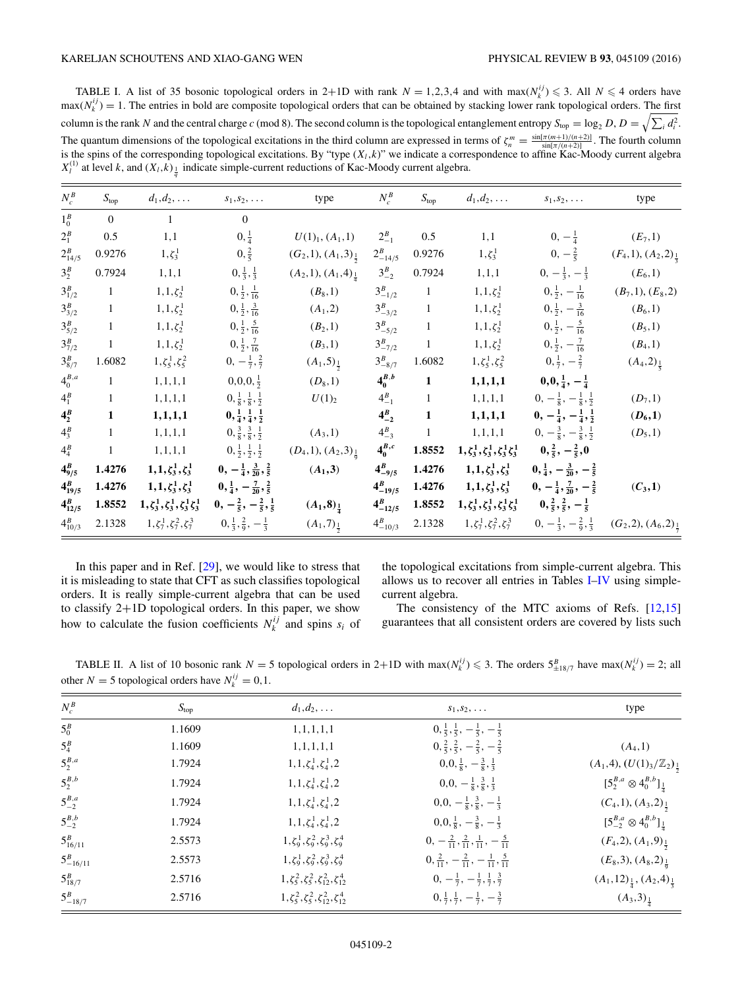<span id="page-2-0"></span>TABLE I. A list of 35 bosonic topological orders in 2+1D with rank  $N = 1,2,3,4$  and with max $(N_k^{ij}) \le 3$ . All  $N \le 4$  orders have  $max(N_k^{ij}) = 1$ . The entries in bold are composite topological orders that can be obtained by stacking lower rank topological orders. The first column is the rank *N* and the central charge *c* (mod 8). The second column is the topological entanglement entropy  $S_{top} = \log_2 D$ ,  $D = \sqrt{\sum_i d_i^2}$ . The quantum dimensions of the topological excitations in the third column are expressed in terms of  $\zeta_n^m = \frac{\sin[\pi(m+1)/(n+2)]}{\sin[\pi/(n+2)]}$ . The fourth column is the spins of the corresponding topological excitations. By "type  $(X_l, k)$ " we indicate a correspondence to affine Kac-Moody current algebra  $X_l^{(1)}$  at level *k*, and  $(X_l, k)$ <sub> $\frac{1}{q}$ </sub> indicate simple-current reductions of Kac-Moody current algebra.

| $N_c^B$      | $S_{\text{top}}$ | $d_1, d_2, \ldots$                             | $s_1, s_2, \ldots$                           | type                             | $N_c^B$         | $S_{\text{top}}$ | $d_1, d_2, \ldots$                             | $s_1, s_2, \ldots$                                                                | type                               |
|--------------|------------------|------------------------------------------------|----------------------------------------------|----------------------------------|-----------------|------------------|------------------------------------------------|-----------------------------------------------------------------------------------|------------------------------------|
| $1_0^B$      | $\overline{0}$   | $\mathbf{1}$                                   | $\overline{0}$                               |                                  |                 |                  |                                                |                                                                                   |                                    |
| $2_1^B$      | 0.5              | 1,1                                            | $0, \frac{1}{4}$                             | $U(1)_{1}, (A_{1},1)$            | $2_{-1}^B$      | 0.5              | 1,1                                            | $0, -\frac{1}{4}$                                                                 | $(E_7,1)$                          |
| $2_{14/5}^B$ | 0.9276           | $1, \zeta_3^1$                                 | $0, \frac{2}{5}$                             | $(G_2,1), (A_1,3)_{\frac{1}{2}}$ | $2_{-14/5}^B$   | 0.9276           | $1, \zeta_3^1$                                 | $0, -\frac{2}{5}$                                                                 | $(F_4,1), (A_2,2)_{\frac{1}{2}}$   |
| $3_2^B$      | 0.7924           | 1, 1, 1                                        | $0, \frac{1}{3}, \frac{1}{3}$                | $(A_2,1), (A_1,4)_{\frac{1}{4}}$ | $3_{-2}^B$      | 0.7924           | 1, 1, 1                                        | $0, -\frac{1}{3}, -\frac{1}{3}$                                                   | $(E_6, 1)$                         |
| $3_{1/2}^B$  | $\mathbf{1}$     | $1, 1, \zeta_2^1$                              | $0, \frac{1}{2}, \frac{1}{16}$               | $(B_8, 1)$                       | $3_{-1/2}^B$    | $\mathbf{1}$     | $1, 1, \zeta_2^1$                              | $0, \frac{1}{2}, -\frac{1}{16}$                                                   | $(B_7,1), (E_8,2)$                 |
| $3_{3/2}^B$  | $\mathbf{1}$     | $1, 1, \zeta_2^1$                              | $0, \frac{1}{2}, \frac{3}{16}$               | $(A_1, 2)$                       | $3_{-3/2}^B$    | $\mathbf{1}$     | $1, 1, \zeta_2^1$                              | $0, \frac{1}{2}, -\frac{3}{16}$                                                   | $(B_6, 1)$                         |
| $3_{5/2}^B$  | $\,1$            | $1, 1, \zeta_2^1$                              | $0, \frac{1}{2}, \frac{5}{16}$               | $(B_2,1)$                        | $3_{-5/2}^B$    | $\mathbf{1}$     | $1,1,\zeta_2^1$                                | $0, \frac{1}{2}, -\frac{5}{16}$                                                   | $(B_5,1)$                          |
| $3_{7/2}^B$  | $\mathbf{1}$     | $1, 1, \zeta_2^1$                              | $0, \frac{1}{2}, \frac{7}{16}$               | $(B_3,1)$                        | $3_{-7/2}^B$    | $\mathbf{1}$     | $1,1,\zeta_2^1$                                | $0, \frac{1}{2}, -\frac{7}{16}$                                                   | $(B_4, 1)$                         |
| $3_{8/7}^B$  | 1.6082           | $1, \zeta_5^1, \zeta_5^2$                      | $0, -\frac{1}{7}, \frac{2}{7}$               | $(A_1,5)_{\frac{1}{2}}$          | $3_{-8/7}^B$    | 1.6082           | $1, \zeta_5^1, \zeta_5^2$                      | $0, \frac{1}{7}, -\frac{2}{7}$                                                    | $(A_4,2)_{\frac{1}{5}}$            |
| $4_0^{B,a}$  | $\mathbf{1}$     | 1, 1, 1, 1                                     | $0, 0, 0, \frac{1}{2}$                       | $(D_8, 1)$                       | $4_0^{B,b}$     | $\mathbf{1}$     | 1, 1, 1, 1                                     | $0,0,\frac{1}{4},-\frac{1}{4}$                                                    |                                    |
| $4_1^B$      | $1\,$            | 1, 1, 1, 1                                     | $0, \frac{1}{8}, \frac{1}{8}, \frac{1}{2}$   | $U(1)_2$                         | $4_{-1}^B$      | $\mathbf{1}$     | 1, 1, 1, 1                                     | $0, -\frac{1}{8}, -\frac{1}{8}, \frac{1}{2}$                                      | $(D_7,1)$                          |
| $4^B_2$      | $\mathbf{1}$     | 1, 1, 1, 1                                     | $0, \frac{1}{4}, \frac{1}{4}, \frac{1}{2}$   |                                  | $4_{-2}^{B}$    | $\mathbf{1}$     | 1, 1, 1, 1                                     | $0, -\frac{1}{4}, -\frac{1}{4}, \frac{1}{2}$                                      | $(D_6,1)$                          |
| $4^B_3$      | $1\,$            | 1, 1, 1, 1                                     | $0, \frac{3}{8}, \frac{3}{8}, \frac{1}{2}$   | $(A_3,1)$                        | $4^{B}_{-3}$    | $\mathbf{1}$     | 1, 1, 1, 1                                     | $0, -\frac{3}{8}, -\frac{3}{8}, \frac{1}{2}$                                      | $(D_5,1)$                          |
| $4_4^B$      | $\mathbf{1}$     | 1, 1, 1, 1                                     | $0, \frac{1}{2}, \frac{1}{2}, \frac{1}{2}$   | $(D_4,1), (A_2,3)_{\frac{1}{6}}$ | $4_0^{B,c}$     | 1.8552           | $1, \zeta_3^1, \zeta_3^1, \zeta_3^1 \zeta_3^1$ | $0, \frac{2}{5}, -\frac{2}{5}, 0$                                                 |                                    |
| $4_{9/5}^B$  | 1.4276           | $1, 1, \zeta_3^1, \zeta_3^1$                   | $0, -\frac{1}{4}, \frac{3}{20}, \frac{2}{5}$ | $(A_1,3)$                        | $4_{-9/5}^B$    | 1.4276           | $1, 1, \zeta_3^1, \zeta_3^1$                   | $0, \frac{1}{4}, -\frac{3}{20}, -\frac{2}{5}$                                     |                                    |
| $4_{19/5}^B$ | 1.4276           | $1, 1, \zeta_3^1, \zeta_3^1$                   | $0, \frac{1}{4}, -\frac{7}{20}, \frac{2}{5}$ |                                  | $4^{B}_{-19/5}$ | 1.4276           | $1, 1, \zeta_3^1, \zeta_3^1$                   | $0, -\frac{1}{4}, \frac{7}{20}, -\frac{2}{5}$                                     | $(C_3,1)$                          |
| $4_{12/5}^B$ | 1.8552           | $1, \zeta_3^1, \zeta_3^1, \zeta_3^1 \zeta_3^1$ | $0, -\frac{2}{5}, -\frac{2}{5}, \frac{1}{5}$ | $(A_1, 8)_{\frac{1}{4}}$         | $4^{B}_{-12/5}$ | 1.8552           | $1, \zeta_3^1, \zeta_3^1, \zeta_3^1 \zeta_3^1$ | $0, \frac{2}{5}, \frac{2}{5}, -\frac{1}{5}$                                       |                                    |
| $4_{10/3}^B$ | 2.1328           | $1, \zeta_7^1, \zeta_7^2, \zeta_7^3$           | $0, \frac{1}{3}, \frac{2}{9}, -\frac{1}{3}$  | $(A_1,7)_{\frac{1}{2}}$          | $4_{-10/3}^B$   | 2.1328           |                                                | $1, \zeta_7^1, \zeta_7^2, \zeta_7^3$ $0, -\frac{1}{3}, -\frac{2}{9}, \frac{1}{3}$ | $(G_2, 2), (A_6, 2)_{\frac{1}{7}}$ |

In this paper and in Ref. [\[29\]](#page-17-0), we would like to stress that it is misleading to state that CFT as such classifies topological orders. It is really simple-current algebra that can be used to classify 2+1D topological orders. In this paper, we show how to calculate the fusion coefficients  $N_k^{ij}$  and spins  $s_i$  of

the topological excitations from simple-current algebra. This allows us to recover all entries in Tables I[–IV](#page-4-0) using simplecurrent algebra.

The consistency of the MTC axioms of Refs. [\[12,15\]](#page-17-0) guarantees that all consistent orders are covered by lists such

TABLE II. A list of 10 bosonic rank  $N = 5$  topological orders in 2+1D with max( $N_k^{ij}$ )  $\leq 3$ . The orders  $5\frac{B}{\pm 18/7}$  have max( $N_k^{ij}$ ) = 2; all other *N* = 5 topological orders have  $N_k^{ij} = 0, 1$ .

| $N_c^B$          | $S_{\text{top}}$ | $d_1, d_2, \ldots$                                    | $s_1, s_2, \ldots$                                            | type                                              |
|------------------|------------------|-------------------------------------------------------|---------------------------------------------------------------|---------------------------------------------------|
| $5_0^B$          | 1.1609           | 1, 1, 1, 1, 1                                         | $0, \frac{1}{5}, \frac{1}{5}, -\frac{1}{5}, -\frac{1}{5}$     |                                                   |
| $5^B_4$          | 1.1609           | 1, 1, 1, 1, 1                                         | $0, \frac{2}{5}, \frac{2}{5}, -\frac{2}{5}, -\frac{2}{5}$     | $(A_4,1)$                                         |
| $5_2^{B,a}$      | 1.7924           | $1, 1, \zeta_4^1, \zeta_4^1, 2$                       | $0,0,\frac{1}{8},-\frac{3}{8},\frac{1}{3}$                    | $(A_1,4), (U(1)_3/\mathbb{Z}_2)_{\frac{1}{2}}$    |
| $5^{B,b}_2$      | 1.7924           | $1, 1, \zeta_4^1, \zeta_4^1, 2$                       | $0,0,-\frac{1}{8},\frac{3}{8},\frac{1}{3}$                    | $[5_2^{B,a} \otimes 4_0^{B,b}]_{\frac{1}{4}}$     |
| $5^{B,a}_{-2}$   | 1.7924           | $1, 1, \zeta_4^1, \zeta_4^1, 2$                       | $0,0,-\frac{1}{8},\frac{3}{8},-\frac{1}{3}$                   | $(C_4,1), (A_3,2)_{\frac{1}{2}}$                  |
| $5^{B,b}_{-2}$   | 1.7924           | $1, 1, \zeta_4^1, \zeta_4^1, 2$                       | $0, 0, \frac{1}{8}, -\frac{3}{8}, -\frac{1}{3}$               | $[5^{B,a}_{-2} \otimes 4^{B,b}_0]_{\frac{1}{4}}$  |
| $5_{16/11}^B$    | 2.5573           | $1, \zeta_9^1, \zeta_9^2, \zeta_9^3, \zeta_9^4$       | $0, -\frac{2}{11}, \frac{2}{11}, \frac{1}{11}, -\frac{5}{11}$ | $(F_4,2), (A_1,9)_{\frac{1}{2}}$                  |
| $5^{B}_{-16/11}$ | 2.5573           | $1, \zeta_9^1, \zeta_9^2, \zeta_9^3, \zeta_9^4$       | $0, \frac{2}{11}, -\frac{2}{11}, -\frac{1}{11}, \frac{5}{11}$ | $(E_8,3), (A_8,2)_{\frac{1}{6}}$                  |
| $5_{18/7}^B$     | 2.5716           | $1, \zeta_5^2, \zeta_5^2, \zeta_{12}^2, \zeta_{12}^4$ | $0, -\frac{1}{7}, -\frac{1}{7}, \frac{1}{7}, \frac{3}{7}$     | $(A_1, 12)_{\frac{1}{4}}, (A_2, 4)_{\frac{1}{7}}$ |
| $5^{B}_{-18/7}$  | 2.5716           | $1, \zeta_5^2, \zeta_5^2, \zeta_{12}^2, \zeta_{12}^4$ | $0, \frac{1}{7}, \frac{1}{7}, -\frac{1}{7}, -\frac{3}{7}$     | $(A_3,3)_{\frac{1}{4}}$                           |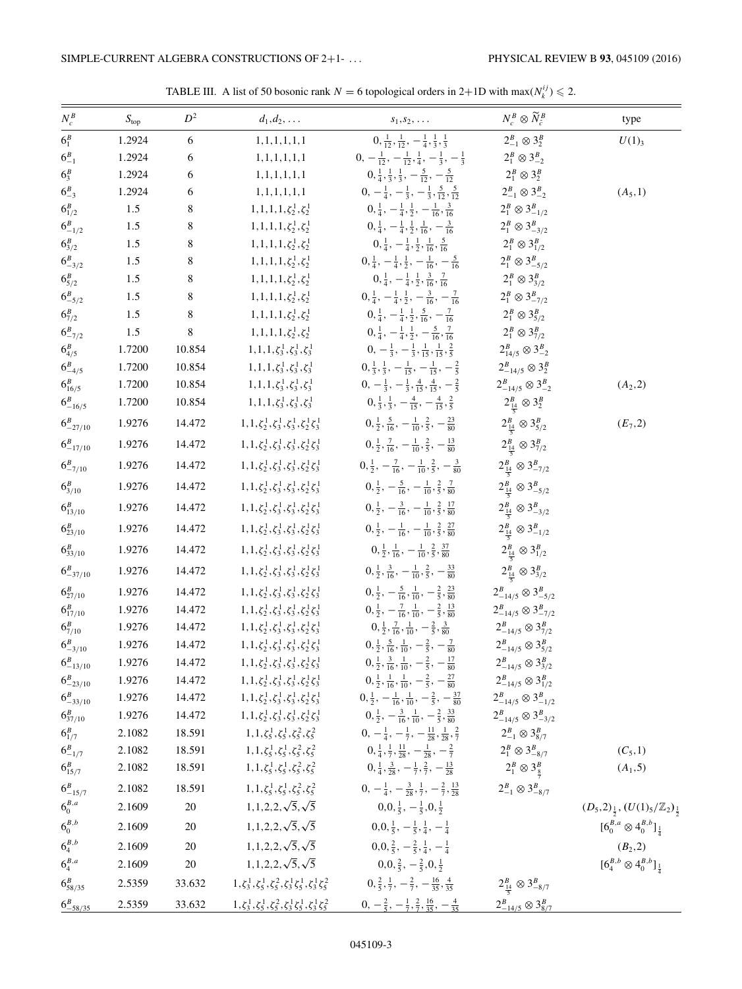<span id="page-3-0"></span>

| $N_c^B$                | S <sub>top</sub> | $D^2$      | $d_1, d_2, \ldots$                                                             | $s_1, s_2, \ldots$                                                          | $N_c^{\scriptscriptstyle B}\otimes \widetilde{N}_{\widetilde{c}}^{\scriptscriptstyle B}$ | type                                                        |
|------------------------|------------------|------------|--------------------------------------------------------------------------------|-----------------------------------------------------------------------------|------------------------------------------------------------------------------------------|-------------------------------------------------------------|
| $6_1^B$                | 1.2924           | $\sqrt{6}$ | 1, 1, 1, 1, 1, 1                                                               | $0, \frac{1}{12}, \frac{1}{12}, -\frac{1}{4}, \frac{1}{3}, \frac{1}{3}$     | $2_{-1}^B \otimes 3_2^B$                                                                 | $U(1)_{3}$                                                  |
| $6^{B}_{-1}$           | 1.2924           | 6          | 1, 1, 1, 1, 1, 1                                                               | $0, -\frac{1}{12}, -\frac{1}{12}, \frac{1}{4}, -\frac{1}{3}, -\frac{1}{3}$  | $2_1^B \otimes 3_{-2}^B$                                                                 |                                                             |
| $6^{B}_{3}$            | 1.2924           | 6          | 1, 1, 1, 1, 1, 1                                                               | $0, \frac{1}{4}, \frac{1}{3}, \frac{1}{3}, -\frac{5}{12}, -\frac{5}{12}$    | $2_1^B \otimes 3_2^B$                                                                    |                                                             |
| $6^{B}_{-3}$           | 1.2924           | $\sqrt{6}$ | 1, 1, 1, 1, 1, 1, 1                                                            | $0, -\frac{1}{4}, -\frac{1}{3}, -\frac{1}{3}, \frac{5}{12}, \frac{5}{12}$   | $2_{-1}^B \otimes 3_{-2}^B$                                                              | $(A_5,1)$                                                   |
| $6_{1/2}^B$            | 1.5              | $\,8\,$    | $1, 1, 1, 1, \zeta_2^1, \zeta_2^1$                                             | $0, \frac{1}{4}, -\frac{1}{4}, \frac{1}{2}, -\frac{1}{16}, \frac{3}{16}$    | $2_1^B \otimes 3_{-1/2}^B$                                                               |                                                             |
| $6^{B}_{-1/2}$         | 1.5              | $\,8\,$    | $1, 1, 1, 1, \zeta_2^1, \zeta_2^1$                                             | $0, \frac{1}{4}, -\frac{1}{4}, \frac{1}{2}, \frac{1}{16}, -\frac{3}{16}$    | $2_1^B \otimes 3_{-3/2}^B$                                                               |                                                             |
| $6^{B}_{3/2}$          | 1.5              | $\,8\,$    | $1, 1, 1, 1, \zeta_2^1, \zeta_2^1$                                             | $0, \frac{1}{4}, -\frac{1}{4}, \frac{1}{2}, \frac{1}{16}, \frac{5}{16}$     | $2_1^B \otimes 3_{1/2}^B$                                                                |                                                             |
| $6^{B}_{-3/2}$         | 1.5              | 8          | $1, 1, 1, 1, \zeta_2^1, \zeta_2^1$                                             | $0, \frac{1}{4}, -\frac{1}{4}, \frac{1}{2}, -\frac{1}{16}, -\frac{5}{16}$   | $2_1^B \otimes 3_{-5/2}^B$                                                               |                                                             |
| $6^{B}_{5/2}$          | 1.5              | $\,8\,$    | $1, 1, 1, 1, \zeta_2^1, \zeta_2^1$                                             | $0, \frac{1}{4}, -\frac{1}{4}, \frac{1}{2}, \frac{3}{16}, \frac{7}{16}$     | $2_1^B \otimes 3_{3/2}^B$                                                                |                                                             |
| $6^{B}_{-5/2}$         | 1.5              | $\,8\,$    | $1, 1, 1, 1, \zeta_2^1, \zeta_2^1$                                             | $0, \frac{1}{4}, -\frac{1}{4}, \frac{1}{2}, -\frac{3}{16}, -\frac{7}{16}$   | $2_1^B \otimes 3_{-7/2}^B$                                                               |                                                             |
| $6^{B}_{7/2}$          | 1.5              | $\,8\,$    | $1, 1, 1, 1, \zeta_2^1, \zeta_2^1$                                             | $0, \frac{1}{4}, -\frac{1}{4}, \frac{1}{2}, \frac{5}{16}, -\frac{7}{16}$    | $2_1^B \otimes 3_{5/2}^B$                                                                |                                                             |
| $6^{B}_{-7/2}$         | 1.5              | $\,8\,$    | $1, 1, 1, 1, \zeta_2^1, \zeta_2^1$                                             | $0, \frac{1}{4}, -\frac{1}{4}, \frac{1}{2}, -\frac{5}{16}, \frac{7}{16}$    | $2_1^B \otimes 3_{7/2}^B$                                                                |                                                             |
| $6^{B}_{4/5}$          | 1.7200           | 10.854     | $1, 1, 1, \zeta_3^1, \zeta_3^1, \zeta_3^1$                                     | $0, -\frac{1}{3}, -\frac{1}{3}, \frac{1}{15}, \frac{1}{15}, \frac{2}{5}$    | $2_{14/5}^B\otimes 3_{-2}^B$                                                             |                                                             |
| $6^{B}_{-4/5}$         | 1.7200           | 10.854     | $1, 1, 1, \zeta_3^1, \zeta_3^1, \zeta_3^1$                                     | $0, \frac{1}{3}, \frac{1}{3}, -\frac{1}{15}, -\frac{1}{15}, -\frac{2}{5}$   | $2^B_{-14/5} \otimes 3^B_2$                                                              |                                                             |
| $6^{B}_{16/5}$         | 1.7200           | 10.854     | $1, 1, 1, \zeta_3^1, \zeta_3^1, \zeta_3^1$                                     | $0, -\frac{1}{3}, -\frac{1}{3}, \frac{4}{15}, \frac{4}{15}, -\frac{2}{5}$   | $2_{-14/5}^B \otimes 3_{-2}^B$                                                           | $(A_2, 2)$                                                  |
| $6^{B}_{-16/5}$        | 1.7200           | 10.854     | $1, 1, 1, \zeta_3^1, \zeta_3^1, \zeta_3^1$                                     | $0, \frac{1}{3}, \frac{1}{3}, -\frac{4}{15}, -\frac{4}{15}, \frac{2}{5}$    | $2^B_{\frac{14}{5}} \otimes 3^B_2$                                                       |                                                             |
| $6^{B}_{-27/10}$       | 1.9276           | 14.472     | $1, 1, \zeta_2^1, \zeta_3^1, \zeta_3^1, \zeta_2^1 \zeta_3^1$                   | $0, \frac{1}{2}, \frac{5}{16}, -\frac{1}{10}, \frac{2}{5}, -\frac{23}{80}$  | $2^B_{\frac{14}{5}} \otimes 3^B_{5/2}$                                                   | $(E_7, 2)$                                                  |
| $6^{B}_{-17/10}$       | 1.9276           | 14.472     | $1, 1, \zeta_2^1, \zeta_3^1, \zeta_3^1, \zeta_2^1 \zeta_3^1$                   | $0, \frac{1}{2}, \frac{7}{16}, -\frac{1}{10}, \frac{2}{5}, -\frac{13}{80}$  | $2^B_{\frac{14}{5}} \otimes 3^B_{7/2}$                                                   |                                                             |
| $6^{B}_{-7/10}$        | 1.9276           | 14.472     | $1, 1, \zeta_2^1, \zeta_3^1, \zeta_3^1, \zeta_2^1 \zeta_3^1$                   | $0, \frac{1}{2}, -\frac{7}{16}, -\frac{1}{10}, \frac{2}{5}, -\frac{3}{80}$  | $2^B_{\frac{14}{5}} \otimes 3^B_{-7/2}$                                                  |                                                             |
| $6^{B}_{3/10}$         | 1.9276           | 14.472     | $1, 1, \zeta_2^1, \zeta_3^1, \zeta_3^1, \zeta_2^1 \zeta_3^1$                   | $0, \frac{1}{2}, -\frac{5}{16}, -\frac{1}{10}, \frac{2}{5}, \frac{7}{80}$   | $2^{B}_{\frac{14}{5}} \otimes 3^{B}_{-5/2}$                                              |                                                             |
| $6_{13/10}^B$          | 1.9276           | 14.472     | $1, 1, \zeta_2^1, \zeta_3^1, \zeta_3^1, \zeta_2^1 \zeta_3^1$                   | $0, \frac{1}{2}, -\frac{3}{16}, -\frac{1}{10}, \frac{2}{5}, \frac{17}{80}$  | $2^B_{\frac{14}{5}} \otimes 3^B_{-3/2}$                                                  |                                                             |
| $6^{B}_{23/10}$        | 1.9276           | 14.472     | $1, 1, \zeta_2^1, \zeta_3^1, \zeta_3^1, \zeta_2^1 \zeta_3^1$                   | $0, \frac{1}{2}, -\frac{1}{16}, -\frac{1}{10}, \frac{2}{5}, \frac{27}{80}$  | $2^B_{\frac{14}{5}} \otimes 3^B_{-1/2}$                                                  |                                                             |
| $6_{33/10}^B$          | 1.9276           | 14.472     | $1, 1, \zeta_2^1, \zeta_3^1, \zeta_3^1, \zeta_2^1 \zeta_3^1$                   | $0, \frac{1}{2}, \frac{1}{16}, -\frac{1}{10}, \frac{2}{5}, \frac{37}{80}$   | $2^B_{\frac{14}{5}} \otimes 3^B_{1/2}$                                                   |                                                             |
| $6^{B}_{-37/10}$       | 1.9276           | 14.472     | $1, 1, \zeta_2^1, \zeta_3^1, \zeta_3^1, \zeta_2^1\zeta_3^1$                    | $0, \frac{1}{2}, \frac{3}{16}, -\frac{1}{10}, \frac{2}{5}, -\frac{33}{80}$  | $2^B_{\frac{14}{5}} \otimes 3^B_{3/2}$                                                   |                                                             |
| $6^{B}_{27/10}$        | 1.9276           | 14.472     | $1, 1, \zeta_2^1, \zeta_3^1, \zeta_3^1, \zeta_2^1\zeta_3^1$                    | $0, \frac{1}{2}, -\frac{5}{16}, \frac{1}{10}, -\frac{2}{5}, \frac{23}{80}$  | $2_{-14/5}^B \otimes 3_{-5/2}^B$                                                         |                                                             |
| $6_{17/10}^B$          | 1.9276           | 14.472     | $1, 1, \zeta_2^1, \zeta_3^1, \zeta_3^1, \zeta_2^1 \zeta_3^1$                   | $0, \frac{1}{2}, -\frac{7}{16}, \frac{1}{10}, -\frac{2}{5}, \frac{13}{80}$  | $2_{-14/5}^B \otimes 3_{-7/2}^B$                                                         |                                                             |
| $6^{B}_{7/10}$         | 1.9276           | 14.472     | $1, 1, \zeta_2^1, \zeta_3^1, \zeta_3^1, \zeta_2^1 \zeta_3^1$                   | $0, \frac{1}{2}, \frac{7}{16}, \frac{1}{10}, -\frac{2}{5}, \frac{3}{80}$    | $2_{-14/5}^B \otimes 3_{7/2}^B$                                                          |                                                             |
| $6^{B}_{-3/10}$        | 1.9276           | 14.472     | $1, 1, \zeta_2^1, \zeta_3^1, \zeta_3^1, \zeta_2^1 \zeta_3^1$                   | $0, \frac{1}{2}, \frac{5}{16}, \frac{1}{10}, -\frac{2}{5}, -\frac{7}{80}$   | $2_{-14/5}^B \otimes 3_{5/2}^B$                                                          |                                                             |
| $6^{B}_{-13/10}$       | 1.9276           | 14.472     | $1, 1, \zeta_2^1, \zeta_3^1, \zeta_3^1, \zeta_2^1 \zeta_3^1$                   | $0, \frac{1}{2}, \frac{3}{16}, \frac{1}{10}, -\frac{2}{5}, -\frac{17}{80}$  | $2_{-14/5}^B \otimes 3_{3/2}^B$                                                          |                                                             |
| $6^{B}_{-23/10}$       | 1.9276           | 14.472     | $1, 1, \zeta_2^1, \zeta_3^1, \zeta_3^1, \zeta_2^1 \zeta_3^1$                   | $0, \frac{1}{2}, \frac{1}{16}, \frac{1}{10}, -\frac{2}{5}, -\frac{27}{80}$  | $2_{-14/5}^B \otimes 3_{1/2}^B$                                                          |                                                             |
| $6^{B}_{-33/10}$       | 1.9276           | 14.472     | $1, 1, \zeta_2^1, \zeta_3^1, \zeta_3^1, \zeta_2^1 \zeta_3^1$                   | $0, \frac{1}{2}, -\frac{1}{16}, \frac{1}{10}, -\frac{2}{5}, -\frac{37}{80}$ | $2_{-14/5}^B \otimes 3_{-1/2}^B$                                                         |                                                             |
| $6^{B}_{37/10}$        | 1.9276           | 14.472     | $1, 1, \zeta_2^1, \zeta_3^1, \zeta_3^1, \zeta_2^1 \zeta_3^1$                   | $0, \frac{1}{2}, -\frac{3}{16}, \frac{1}{10}, -\frac{2}{5}, \frac{33}{80}$  | $2_{-14/5}^B \otimes 3_{-3/2}^B$                                                         |                                                             |
| $6_{1/7}^B$            | 2.1082           | 18.591     | $1, 1, \zeta_5^1, \zeta_5^1, \zeta_5^2, \zeta_5^2$                             | $0, -\frac{1}{4}, -\frac{1}{7}, -\frac{11}{28}, \frac{1}{28}, \frac{2}{7}$  | $2_{-1}^B \otimes 3_{8/7}^B$                                                             |                                                             |
| $6^{B}_{-1/7}$         | 2.1082           | 18.591     | 1, 1, $\zeta_5^1$ , $\zeta_5^1$ , $\zeta_5^2$ , $\zeta_5^2$                    | $0, \frac{1}{4}, \frac{1}{7}, \frac{11}{28}, -\frac{1}{28}, -\frac{2}{7}$   | $2_1^B \otimes 3_{-8/7}^B$                                                               | $(C_5,1)$                                                   |
| $6^{B}_{15/7}$         | 2.1082           | 18.591     | $1, 1, \zeta_5^1, \zeta_5^1, \zeta_5^2, \zeta_5^2$                             | $0, \frac{1}{4}, \frac{3}{28}, -\frac{1}{7}, \frac{2}{7}, -\frac{13}{28}$   | $2_1^B \otimes 3_{\frac{8}{7}}^B$                                                        | $(A_1, 5)$                                                  |
| $6^{B}_{-15/7}$        | 2.1082           | 18.591     | $1, 1, \zeta_5^1, \zeta_5^1, \zeta_5^2, \zeta_5^2$                             | $0, -\frac{1}{4}, -\frac{3}{28}, \frac{1}{7}, -\frac{2}{7}, \frac{13}{28}$  | $2_{-1}^B \otimes 3_{-8/7}^B$                                                            |                                                             |
| $\mathbf{6}_{0}^{B,a}$ | 2.1609           | 20         | $1, 1, 2, 2, \sqrt{5}, \sqrt{5}$                                               | $0, 0, \frac{1}{5}, -\frac{1}{5}, 0, \frac{1}{2}$                           |                                                                                          | $(D_5,2)_{\frac{1}{2}},(U(1)_5/\mathbb{Z}_2)_{\frac{1}{2}}$ |
| $6_0^{B,b}$            | 2.1609           | 20         | $1, 1, 2, 2, \sqrt{5}, \sqrt{5}$                                               | $0, 0, \frac{1}{5}, -\frac{1}{5}, \frac{1}{4}, -\frac{1}{4}$                |                                                                                          | $[6_0^{B,a} \otimes 4_0^{B,b}]_{\frac{1}{4}}$               |
| $6^{B,b}_4$            | 2.1609           | 20         | $1, 1, 2, 2, \sqrt{5}, \sqrt{5}$                                               | $0, 0, \frac{2}{5}, -\frac{2}{5}, \frac{1}{4}, -\frac{1}{4}$                |                                                                                          | $(B_2, 2)$                                                  |
| $6_4^{B,a}$            | 2.1609           | $20\,$     | $1, 1, 2, 2, \sqrt{5}, \sqrt{5}$                                               | $0, 0, \frac{2}{5}, -\frac{2}{5}, 0, \frac{1}{2}$                           |                                                                                          | $[6_4^{B,b} \otimes 4_0^{B,b}]_{\frac{1}{4}}$               |
| $6^{B}_{58/35}$        | 2.5359           | 33.632     | $1, \zeta_3^1, \zeta_5^1, \zeta_5^2, \zeta_3^1 \zeta_5^1, \zeta_3^1 \zeta_5^2$ | $0, \frac{2}{5}, \frac{1}{7}, -\frac{2}{7}, -\frac{16}{35}, \frac{4}{35}$   | $2^B_{\frac{14}{5}} \otimes 3^B_{-8/7}$                                                  |                                                             |
| $6^{B}_{-58/35}$       | 2.5359           | 33.632     | $1, \zeta_3^1, \zeta_5^1, \zeta_5^2, \zeta_3^1 \zeta_5^1, \zeta_3^1 \zeta_5^2$ | $0, -\frac{2}{5}, -\frac{1}{7}, \frac{2}{7}, \frac{16}{35}, -\frac{4}{35}$  | $2_{-14/5}^B \otimes 3_{8/7}^B$                                                          |                                                             |

TABLE III. A list of 50 bosonic rank  $N = 6$  topological orders in 2+1D with max( $N_k^{ij}$ )  $\leq 2$ .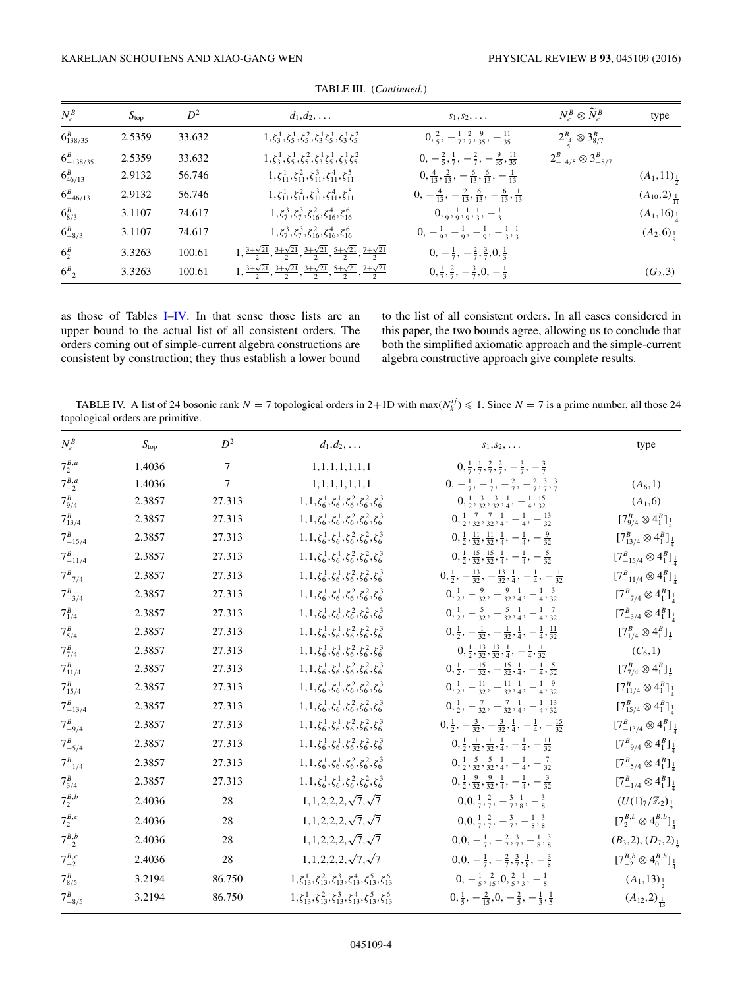<span id="page-4-0"></span>

| $N_c^B$           | $S_{\text{top}}$ | $D^2$  | $d_1, d_2, \ldots$                                                                                                     | $s_1, s_2, \ldots$                                                           | $N_c^B \otimes \widetilde{N}_{\tilde{c}}^B$ | type                        |
|-------------------|------------------|--------|------------------------------------------------------------------------------------------------------------------------|------------------------------------------------------------------------------|---------------------------------------------|-----------------------------|
| $6_{138/35}^B$    | 2.5359           | 33.632 | $1, \zeta_3^1, \zeta_5^1, \zeta_5^2, \zeta_3^1 \zeta_5^1, \zeta_3^1 \zeta_5^2$                                         | $0, \frac{2}{5}, -\frac{1}{7}, \frac{2}{7}, \frac{9}{35}, -\frac{11}{35}$    | $2^B_{\frac{14}{5}} \otimes 3^B_{8/7}$      |                             |
| $6^{B}_{-138/35}$ | 2.5359           | 33.632 | $1, \zeta_3^1, \zeta_5^1, \zeta_5^2, \zeta_3^1 \zeta_5^1, \zeta_3^1 \zeta_5^2$                                         | $0, -\frac{2}{5}, \frac{1}{7}, -\frac{2}{7}, -\frac{9}{35}, \frac{11}{35}$   | $2_{-14/5}^B \otimes 3_{-8/7}^B$            |                             |
| $6^{B}_{46/13}$   | 2.9132           | 56.746 | $1, \zeta_{11}^1, \zeta_{11}^2, \zeta_{11}^3, \zeta_{11}^4, \zeta_{11}^5$                                              | $0, \frac{4}{13}, \frac{2}{13}, -\frac{6}{13}, \frac{6}{13}, -\frac{1}{13}$  |                                             | $(A_1,11)_{\frac{1}{2}}$    |
| $6^{B}_{-46/13}$  | 2.9132           | 56.746 | $1, \zeta_{11}^1, \zeta_{11}^2, \zeta_{11}^3, \zeta_{11}^4, \zeta_{11}^5$                                              | $0, -\frac{4}{13}, -\frac{2}{13}, \frac{6}{13}, -\frac{6}{13}, \frac{1}{13}$ |                                             | $(A_{10},2)_{\frac{1}{11}}$ |
| $6_{8/3}^B$       | 3.1107           | 74.617 | $1, \zeta_7^3, \zeta_7^3, \zeta_{16}^2, \zeta_{16}^4, \zeta_{16}^6$                                                    | $0, \frac{1}{9}, \frac{1}{9}, \frac{1}{9}, \frac{1}{3}, -\frac{1}{3}$        |                                             | $(A_1, 16)_{\frac{1}{4}}$   |
| $6^{B}_{-8/3}$    | 3.1107           | 74.617 | $1, \zeta_7^3, \zeta_7^3, \zeta_{16}^2, \zeta_{16}^4, \zeta_{16}^6$                                                    | $0, -\frac{1}{9}, -\frac{1}{9}, -\frac{1}{9}, -\frac{1}{3}, \frac{1}{3}$     |                                             | $(A_2, 6)_{\frac{1}{9}}$    |
| $6_2^B$           | 3.3263           | 100.61 | $1, \frac{3+\sqrt{21}}{2}, \frac{3+\sqrt{21}}{2}, \frac{3+\sqrt{21}}{2}, \frac{5+\sqrt{21}}{2}, \frac{7+\sqrt{21}}{2}$ | $0, -\frac{1}{7}, -\frac{2}{7}, \frac{3}{7}, 0, \frac{1}{3}$                 |                                             |                             |
| $6^{B}_{-2}$      | 3.3263           | 100.61 | $1, \frac{3+\sqrt{21}}{2}, \frac{3+\sqrt{21}}{2}, \frac{3+\sqrt{21}}{2}, \frac{5+\sqrt{21}}{2}, \frac{7+\sqrt{21}}{2}$ | $0, \frac{1}{7}, \frac{2}{7}, -\frac{3}{7}, 0, -\frac{1}{3}$                 |                                             | $(G_2,3)$                   |

TABLE III. (*Continued.*)

as those of Tables [I–](#page-2-0)IV. In that sense those lists are an upper bound to the actual list of all consistent orders. The orders coming out of simple-current algebra constructions are consistent by construction; they thus establish a lower bound to the list of all consistent orders. In all cases considered in this paper, the two bounds agree, allowing us to conclude that both the simplified axiomatic approach and the simple-current algebra constructive approach give complete results.

TABLE IV. A list of 24 bosonic rank  $N = 7$  topological orders in 2+1D with max $(N_k^{ij}) \le 1$ . Since  $N = 7$  is a prime number, all those 24 topological orders are primitive.

| $N_c^B$         | $S_{\text{top}}$ | $D^2$  | $d_1, d_2, \ldots$                                                                      | $s_1, s_2, \ldots$                                                                         | type                                               |
|-----------------|------------------|--------|-----------------------------------------------------------------------------------------|--------------------------------------------------------------------------------------------|----------------------------------------------------|
| $7^{B,a}_2$     | 1.4036           | $\tau$ | 1, 1, 1, 1, 1, 1, 1, 1                                                                  | $0, \frac{1}{7}, \frac{1}{7}, \frac{2}{7}, \frac{2}{7}, -\frac{3}{7}, -\frac{3}{7}$        |                                                    |
| $7^{B,a}_{-2}$  | 1.4036           | $\tau$ | 1, 1, 1, 1, 1, 1, 1, 1                                                                  | $0, -\frac{1}{7}, -\frac{1}{7}, -\frac{2}{7}, -\frac{2}{7}, \frac{3}{7}, \frac{3}{7}$      | $(A_6, 1)$                                         |
| $7^{B}_{9/4}$   | 2.3857           | 27.313 | $1, 1, \zeta_6^1, \zeta_6^1, \zeta_6^2, \zeta_6^2, \zeta_6^3$                           | $0, \frac{1}{2}, \frac{3}{32}, \frac{3}{32}, \frac{1}{4}, -\frac{1}{4}, \frac{15}{32}$     | $(A_1,6)$                                          |
| $7_{13/4}^B$    | 2.3857           | 27.313 | $1, 1, \zeta_6^1, \zeta_6^1, \zeta_6^2, \zeta_6^2, \zeta_6^3$                           | $0, \frac{1}{2}, \frac{7}{32}, \frac{7}{32}, \frac{1}{4}, -\frac{1}{4}, -\frac{13}{32}$    | $[7^B_{9/4} \otimes 4^B_1]_{\frac{1}{4}}$          |
| $7^{B}_{-15/4}$ | 2.3857           | 27.313 | $1, 1, \zeta_6^1, \zeta_6^1, \zeta_6^2, \zeta_6^2, \zeta_6^3$                           | $0, \frac{1}{2}, \frac{11}{32}, \frac{11}{32}, \frac{1}{4}, -\frac{1}{4}, -\frac{9}{32}$   | $[7^B_{13/4} \otimes 4^B_1]_{\frac{1}{4}}$         |
| $7^{B}_{-11/4}$ | 2.3857           | 27.313 | $1, 1, \zeta_6^1, \zeta_6^1, \zeta_6^2, \zeta_6^2, \zeta_6^3$                           | $0, \frac{1}{2}, \frac{15}{32}, \frac{15}{32}, \frac{1}{4}, -\frac{1}{4}, -\frac{5}{32}$   | $[7^B_{-15/4} \otimes 4^B_1]_{\frac{1}{4}}$        |
| $7^{B}_{-7/4}$  | 2.3857           | 27.313 | $1, 1, \zeta_6^1, \zeta_6^1, \zeta_6^2, \zeta_6^2, \zeta_6^3$                           | $0, \frac{1}{2}, -\frac{13}{32}, -\frac{13}{32}, \frac{1}{4}, -\frac{1}{4}, -\frac{1}{32}$ | $[7^B_{-11/4} \otimes 4^B_1]_{\frac{1}{4}}$        |
| $7_{-3/4}^B$    | 2.3857           | 27.313 | $1, 1, \zeta_6^1, \zeta_6^1, \zeta_6^2, \zeta_6^2, \zeta_6^3$                           | $0, \frac{1}{2}, -\frac{9}{32}, -\frac{9}{32}, \frac{1}{4}, -\frac{1}{4}, \frac{3}{32}$    | $[7^B_{-7/4} \otimes 4^B_1]_{\frac{1}{4}}$         |
| $7_{1/4}^B$     | 2.3857           | 27.313 | $1, 1, \zeta_6^1, \zeta_6^1, \zeta_6^2, \zeta_6^2, \zeta_6^3$                           | $0, \frac{1}{2}, -\frac{5}{32}, -\frac{5}{32}, \frac{1}{4}, -\frac{1}{4}, \frac{7}{32}$    | $[7^B_{-3/4} \otimes 4^B_1]_{\frac{1}{4}}$         |
| $7^{B}_{5/4}$   | 2.3857           | 27.313 | $1, 1, \zeta_6^1, \zeta_6^1, \zeta_6^2, \zeta_6^2, \zeta_6^3$                           | $0, \frac{1}{2}, -\frac{1}{32}, -\frac{1}{32}, \frac{1}{4}, -\frac{1}{4}, \frac{11}{32}$   | $[7^B_{1/4} \otimes 4^B_1]_{\frac{1}{4}}$          |
| $7^{B}_{7/4}$   | 2.3857           | 27.313 | $1, 1, \zeta_6^1, \zeta_6^1, \zeta_6^2, \zeta_6^2, \zeta_6^3$                           | $0, \frac{1}{2}, \frac{13}{32}, \frac{13}{32}, \frac{1}{4}, -\frac{1}{4}, \frac{1}{32}$    | $(C_6, 1)$                                         |
| $7_{11/4}^B$    | 2.3857           | 27.313 | $1, 1, \zeta_6^1, \zeta_6^1, \zeta_6^2, \zeta_6^2, \zeta_6^3$                           | $0, \frac{1}{2}, -\frac{15}{32}, -\frac{15}{32}, \frac{1}{4}, -\frac{1}{4}, \frac{5}{32}$  | $[7^B_{7/4} \otimes 4^B_1]_{\frac{1}{4}}$          |
| $7^{B}_{15/4}$  | 2.3857           | 27.313 | $1, 1, \zeta_6^1, \zeta_6^1, \zeta_6^2, \zeta_6^2, \zeta_6^3$                           | $0, \frac{1}{2}, -\frac{11}{32}, -\frac{11}{32}, \frac{1}{4}, -\frac{1}{4}, \frac{9}{32}$  | $[7^B_{11/4} \otimes 4^B_1]_{\frac{1}{4}}$         |
| $7^B_{-13/4}$   | 2.3857           | 27.313 | $1, 1, \zeta_6^1, \zeta_6^1, \zeta_6^2, \zeta_6^2, \zeta_6^3$                           | $0, \frac{1}{2}, -\frac{7}{32}, -\frac{7}{32}, \frac{1}{4}, -\frac{1}{4}, \frac{13}{32}$   | $[7^B_{15/4} \otimes 4^B_1]_{\frac{1}{4}}$         |
| $7_{-9/4}^B$    | 2.3857           | 27.313 | $1, 1, \zeta_6^1, \zeta_6^1, \zeta_6^2, \zeta_6^2, \zeta_6^3$                           | $0, \frac{1}{2}, -\frac{3}{32}, -\frac{3}{32}, \frac{1}{4}, -\frac{1}{4}, -\frac{15}{32}$  | $[7^B_{-13/4} \otimes 4^B_1]_{\frac{1}{4}}$        |
| $7^{B}_{-5/4}$  | 2.3857           | 27.313 | $1, 1, \zeta_6^1, \zeta_6^1, \zeta_6^2, \zeta_6^2, \zeta_6^3$                           | $0, \frac{1}{2}, \frac{1}{32}, \frac{1}{32}, \frac{1}{4}, -\frac{1}{4}, -\frac{11}{32}$    | $[7^B_{-9/4} \otimes 4^B_1]_{\frac{1}{4}}$         |
| $7^{B}_{-1/4}$  | 2.3857           | 27.313 | $1, 1, \zeta_6^1, \zeta_6^1, \zeta_6^2, \zeta_6^2, \zeta_6^3$                           | $0, \frac{1}{2}, \frac{5}{32}, \frac{5}{32}, \frac{1}{4}, -\frac{1}{4}, -\frac{7}{32}$     | $[7^B_{-5/4} \otimes 4^B_1]_{\frac{1}{4}}$         |
| $7_{3/4}^B$     | 2.3857           | 27.313 | $1, 1, \zeta_6^1, \zeta_6^1, \zeta_6^2, \zeta_6^2, \zeta_6^3$                           | $0, \frac{1}{2}, \frac{9}{32}, \frac{9}{32}, \frac{1}{4}, -\frac{1}{4}, -\frac{3}{32}$     | $[7^B_{-1/4} \otimes 4^B_1]_{\frac{1}{4}}$         |
| $7^{B,b}_2$     | 2.4036           | 28     | $1, 1, 2, 2, 2, \sqrt{7}, \sqrt{7}$                                                     | $0, 0, \frac{1}{7}, \frac{2}{7}, -\frac{3}{7}, \frac{1}{8}, -\frac{3}{8}$                  | $(U(1)_7/\mathbb{Z}_2)_{\frac{1}{2}}$              |
| $7^{B,c}_2$     | 2.4036           | 28     | $1, 1, 2, 2, 2, \sqrt{7}, \sqrt{7}$                                                     | $0, 0, \frac{1}{7}, \frac{2}{7}, -\frac{3}{7}, -\frac{1}{8}, \frac{3}{8}$                  | $[7^{B,b}_{2} \otimes 4^{B,b}_{0}]_{\frac{1}{4}}$  |
| $7^{B,b}_{-2}$  | 2.4036           | 28     | $1, 1, 2, 2, 2, \sqrt{7}, \sqrt{7}$                                                     | $0,0,-\frac{1}{7},-\frac{2}{7},\frac{3}{7},-\frac{1}{8},\frac{3}{8}$                       | $(B_3,2), (D_7,2)_{\frac{1}{2}}$                   |
| $7^{B,c}_{-2}$  | 2.4036           | 28     | $1, 1, 2, 2, 2, \sqrt{7}, \sqrt{7}$                                                     | $0,0,-\frac{1}{7},-\frac{2}{7},\frac{3}{7},\frac{1}{8},-\frac{3}{8}$                       | $[7^{B,b}_{-2} \otimes 4^{B,b}_{0}]_{\frac{1}{4}}$ |
| $7_{8/5}^B$     | 3.2194           | 86.750 | $1, \zeta_{13}^1, \zeta_{13}^2, \zeta_{13}^3, \zeta_{13}^4, \zeta_{13}^5, \zeta_{13}^6$ | $0, -\frac{1}{5}, \frac{2}{15}, 0, \frac{2}{5}, \frac{1}{3}, -\frac{1}{5}$                 | $(A_1, 13)_{\frac{1}{2}}$                          |
| $7^{B}_{-8/5}$  | 3.2194           | 86.750 | $1, \zeta_{13}^1, \zeta_{13}^2, \zeta_{13}^3, \zeta_{13}^4, \zeta_{13}^5, \zeta_{13}^6$ | $0, \frac{1}{5}, -\frac{2}{15}, 0, -\frac{2}{5}, -\frac{1}{3}, \frac{1}{5}$                | $(A_{12}, 2)_{\frac{1}{13}}$                       |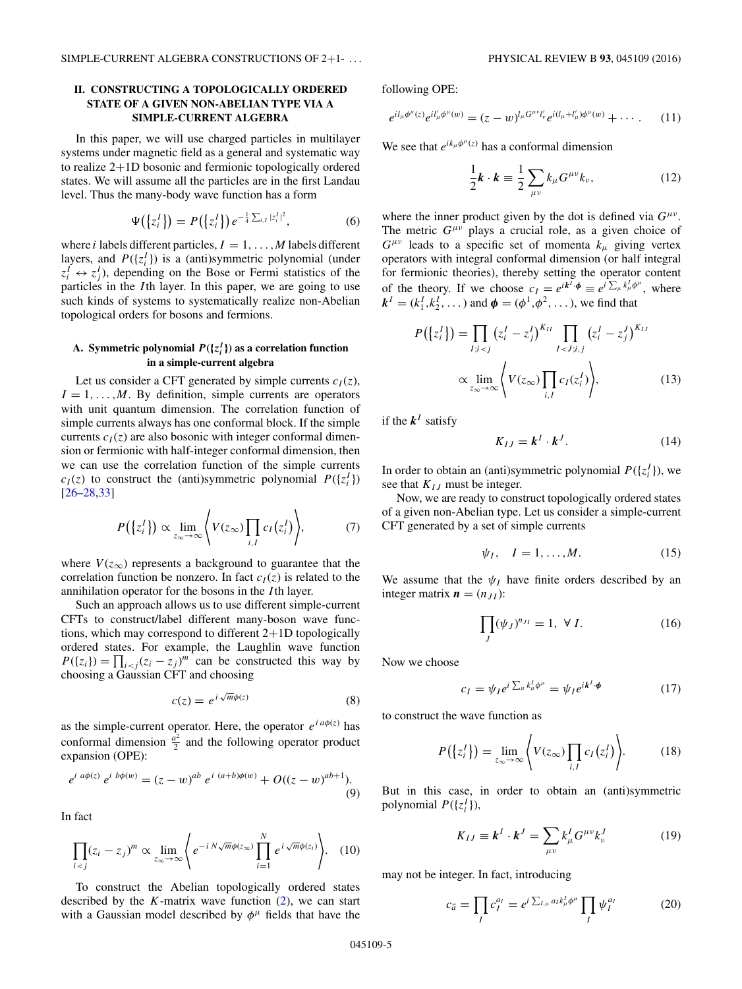# <span id="page-5-0"></span>**II. CONSTRUCTING A TOPOLOGICALLY ORDERED STATE OF A GIVEN NON-ABELIAN TYPE VIA A SIMPLE-CURRENT ALGEBRA**

In this paper, we will use charged particles in multilayer systems under magnetic field as a general and systematic way to realize 2+1D bosonic and fermionic topologically ordered states. We will assume all the particles are in the first Landau level. Thus the many-body wave function has a form

$$
\Psi(\{z_i^I\}) = P(\{z_i^I\}) e^{-\frac{1}{4}\sum_{i,I} |z_i^I|^2},\tag{6}
$$

where *i* labels different particles,  $I = 1, \ldots, M$  labels different layers, and  $P({z_i^I})$  is a (anti)symmetric polynomial (under  $z_i^I \leftrightarrow z_j^I$ , depending on the Bose or Fermi statistics of the particles in the *I* th layer. In this paper, we are going to use such kinds of systems to systematically realize non-Abelian topological orders for bosons and fermions.

# A. Symmetric polynomial  $P({z<sub>i</sub><sup>I</sup>})$  as a correlation function **in a simple-current algebra**

Let us consider a CFT generated by simple currents  $c_I(z)$ ,  $I = 1, \ldots, M$ . By definition, simple currents are operators with unit quantum dimension. The correlation function of simple currents always has one conformal block. If the simple currents  $c_I(z)$  are also bosonic with integer conformal dimension or fermionic with half-integer conformal dimension, then we can use the correlation function of the simple currents  $c_I(z)$  to construct the (anti)symmetric polynomial  $P({z_i^I})$  $[26 - 28, 33]$ 

$$
P(\lbrace z_i^I \rbrace) \propto \lim_{z_{\infty} \to \infty} \left\langle V(z_{\infty}) \prod_{i,I} c_I(z_i^I) \right\rangle, \tag{7}
$$

where  $V(z_{\infty})$  represents a background to guarantee that the correlation function be nonzero. In fact  $c_I(z)$  is related to the annihilation operator for the bosons in the *I* th layer.

Such an approach allows us to use different simple-current CFTs to construct/label different many-boson wave functions, which may correspond to different 2+1D topologically ordered states. For example, the Laughlin wave function  $P({z_i}) = \prod_{i < j} (z_i - z_j)^m$  can be constructed this way by choosing a Gaussian CFT and choosing

$$
c(z) = e^{i\sqrt{m}\phi(z)}\tag{8}
$$

as the simple-current operator. Here, the operator  $e^{i a \phi(z)}$  has conformal dimension  $\frac{a^2}{2}$  and the following operator product expansion (OPE):

$$
e^{i a\phi(z)} e^{i b\phi(w)} = (z - w)^{ab} e^{i (a+b)\phi(w)} + O((z - w)^{ab+1}).
$$
\n(9)

In fact

$$
\prod_{i < j} (z_i - z_j)^m \propto \lim_{z_\infty \to \infty} \left\langle e^{-i\ N\sqrt{m}\phi(z_\infty)} \prod_{i=1}^N e^{i\ \sqrt{m}\phi(z_i)} \right\rangle. \tag{10}
$$

To construct the Abelian topologically ordered states described by the  $K$ -matrix wave function  $(2)$ , we can start with a Gaussian model described by  $\phi^{\mu}$  fields that have the

following OPE:

$$
e^{i l_{\mu}\phi^{\mu}(z)} e^{i l'_{\mu}\phi^{\mu}(w)} = (z-w)^{l_{\mu}G^{\mu\nu}l'_{\nu}} e^{i (l_{\mu}+l'_{\mu})\phi^{\mu}(w)} + \cdots. \qquad (11)
$$

We see that  $e^{ik_{\mu}\phi^{\mu}(z)}$  has a conformal dimension

$$
\frac{1}{2}\mathbf{k} \cdot \mathbf{k} \equiv \frac{1}{2} \sum_{\mu\nu} k_{\mu} G^{\mu\nu} k_{\nu}, \qquad (12)
$$

where the inner product given by the dot is defined via  $G^{\mu\nu}$ . The metric *Gμν* plays a crucial role, as a given choice of  $G^{\mu\nu}$  leads to a specific set of momenta  $k_{\mu}$  giving vertex operators with integral conformal dimension (or half integral for fermionic theories), thereby setting the operator content of the theory. If we choose  $c_I = e^{ik^I \cdot \phi} \equiv e^{i \sum_{\mu} k^I_{\mu} \phi^{\mu}}$ , where  $k^{I} = (k_1^{I}, k_2^{I}, \dots)$  and  $\phi = (\phi^1, \phi^2, \dots)$ , we find that

$$
P(\lbrace z_i^I \rbrace) = \prod_{I; i < j} (z_i^I - z_j^I)^{K_{II}} \prod_{I < J; i, j} (z_i^I - z_j^J)^{K_{II}} \\
\propto \lim_{z_{\infty} \to \infty} \left\langle V(z_{\infty}) \prod_{i, I} c_I(z_i^I) \right\rangle,\n\tag{13}
$$

if the  $k^I$  satisfy

$$
K_{IJ} = \mathbf{k}^I \cdot \mathbf{k}^J. \tag{14}
$$

In order to obtain an (anti)symmetric polynomial  $P({z_i^I})$ , we see that  $K_{IJ}$  must be integer.

Now, we are ready to construct topologically ordered states of a given non-Abelian type. Let us consider a simple-current CFT generated by a set of simple currents

$$
\psi_I, \quad I = 1, \dots, M. \tag{15}
$$

We assume that the  $\psi_I$  have finite orders described by an integer matrix  $\mathbf{n} = (n_{JI})$ :

$$
\prod_{J} (\psi_J)^{n_{JI}} = 1, \ \forall \ I.
$$
 (16)

Now we choose

$$
c_I = \psi_I e^{i \sum_{\mu} k^I_{\mu} \phi^{\mu}} = \psi_I e^{i k^I \cdot \phi} \tag{17}
$$

to construct the wave function as

$$
P(\lbrace z_i^I \rbrace) = \lim_{z_{\infty} \to \infty} \left\langle V(z_{\infty}) \prod_{i,I} c_I(z_i^I) \right\rangle. \tag{18}
$$

But in this case, in order to obtain an (anti)symmetric polynomial  $P({z_i^I})$ ),

$$
K_{IJ} \equiv \mathbf{k}^I \cdot \mathbf{k}^J = \sum_{\mu\nu} k^I_{\mu} G^{\mu\nu} k^J_{\nu} \tag{19}
$$

may not be integer. In fact, introducing

$$
c_{\vec{a}} = \prod_{I} c_{I}^{a_{I}} = e^{i \sum_{I,\mu} a_{I} k_{\mu}^{I} \phi^{\mu}} \prod_{I} \psi_{I}^{a_{I}} \tag{20}
$$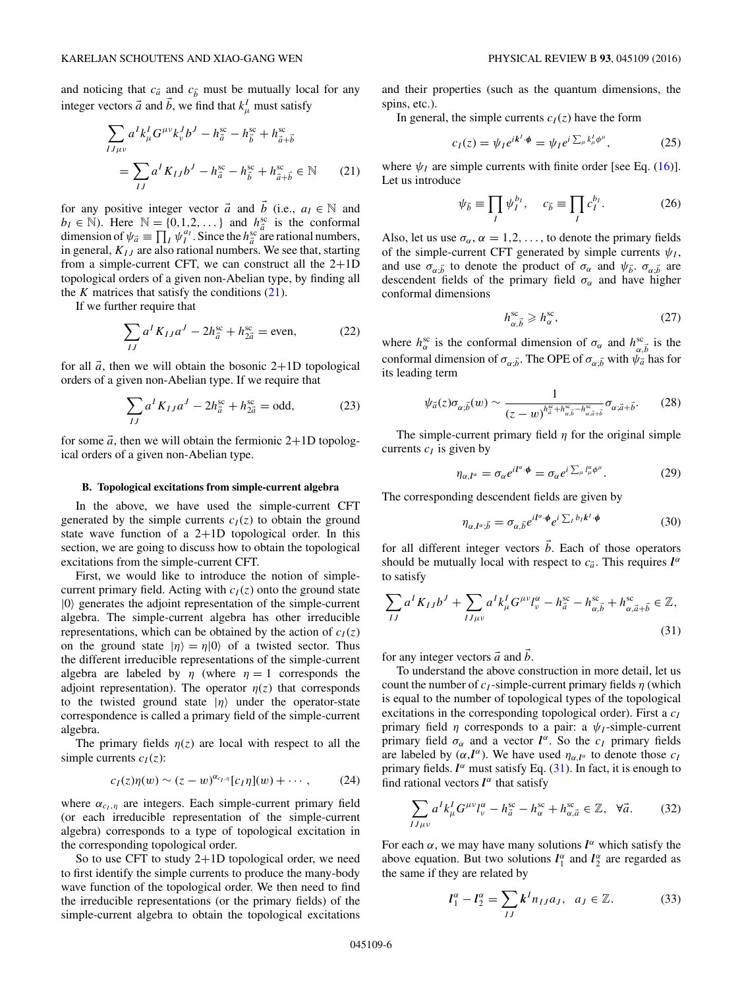<span id="page-6-0"></span>and noticing that  $c_{\vec{a}}$  and  $c_{\vec{b}}$  must be mutually local for any integer vectors  $\vec{a}$  and  $\vec{b}$ , we find that  $k^I_\mu$  must satisfy

$$
\sum_{IJ\mu\nu} a^I k^I_\mu G^{\mu\nu} k^J_\nu b^J - h^{sc}_{\vec{a}} - h^{sc}_{\vec{b}} + h^{sc}_{\vec{a} + \vec{b}}
$$
  
= 
$$
\sum_{IJ} a^I K_{IJ} b^J - h^{sc}_{\vec{a}} - h^{sc}_{\vec{b}} + h^{sc}_{\vec{a} + \vec{b}} \in \mathbb{N}
$$
 (21)

for any positive integer vector  $\vec{a}$  and  $\vec{b}$  (i.e.,  $a_I \in \mathbb{N}$  and  $b_I \in \mathbb{N}$ ). Here  $\mathbb{N} = \{0, 1, 2, \dots\}$  and  $h_{\vec{a}}^{\text{sc}}$  is the conformal dimension of  $\psi_{\vec{a}} \equiv \prod_{I} \psi_{I}^{a_{I}}$ . Since the  $h_{\vec{a}}^{\text{sc}}$  are rational numbers, in general, *KIJ* are also rational numbers. We see that, starting from a simple-current CFT, we can construct all the 2+1D topological orders of a given non-Abelian type, by finding all the  $K$  matrices that satisfy the conditions  $(21)$ .

If we further require that

$$
\sum_{IJ} a^I K_{IJ} a^J - 2h_{\vec{a}}^{\text{sc}} + h_{2\vec{a}}^{\text{sc}} = \text{even},\tag{22}
$$

for all  $\vec{a}$ , then we will obtain the bosonic 2+1D topological orders of a given non-Abelian type. If we require that

$$
\sum_{IJ} a^I K_{IJ} a^J - 2h_{\vec{a}}^{\text{sc}} + h_{2\vec{a}}^{\text{sc}} = \text{odd},\tag{23}
$$

for some  $\vec{a}$ , then we will obtain the fermionic 2+1D topological orders of a given non-Abelian type.

#### **B. Topological excitations from simple-current algebra**

In the above, we have used the simple-current CFT generated by the simple currents  $c_I(z)$  to obtain the ground state wave function of a  $2+1D$  topological order. In this section, we are going to discuss how to obtain the topological excitations from the simple-current CFT.

First, we would like to introduce the notion of simplecurrent primary field. Acting with  $c_I(z)$  onto the ground state |0 generates the adjoint representation of the simple-current algebra. The simple-current algebra has other irreducible representations, which can be obtained by the action of  $c_I(z)$ on the ground state  $|\eta\rangle = \eta|0\rangle$  of a twisted sector. Thus the different irreducible representations of the simple-current algebra are labeled by  $\eta$  (where  $\eta = 1$  corresponds the adjoint representation). The operator  $\eta(z)$  that corresponds to the twisted ground state  $|\eta\rangle$  under the operator-state correspondence is called a primary field of the simple-current algebra.

The primary fields  $\eta(z)$  are local with respect to all the simple currents  $c_I(z)$ :

$$
c_I(z)\eta(w) \sim (z-w)^{\alpha_{c_I,\eta}}[c_I\eta](w) + \cdots, \qquad (24)
$$

where  $\alpha_{c_I, \eta}$  are integers. Each simple-current primary field (or each irreducible representation of the simple-current algebra) corresponds to a type of topological excitation in the corresponding topological order.

So to use CFT to study  $2+1D$  topological order, we need to first identify the simple currents to produce the many-body wave function of the topological order. We then need to find the irreducible representations (or the primary fields) of the simple-current algebra to obtain the topological excitations

and their properties (such as the quantum dimensions, the spins, etc.).

In general, the simple currents  $c_I(z)$  have the form

$$
c_I(z) = \psi_I e^{ik^I \cdot \phi} = \psi_I e^{i \sum_{\mu} k^I_{\mu} \phi^{\mu}}, \qquad (25)
$$

where  $\psi_I$  are simple currents with finite order [see Eq. [\(16\)](#page-5-0)]. Let us introduce

$$
\psi_{\vec{b}} \equiv \prod_{I} \psi_{I}^{b_{I}}, \quad c_{\vec{b}} \equiv \prod_{I} c_{I}^{b_{I}}.
$$
 (26)

Also, let us use  $\sigma_{\alpha}$ ,  $\alpha = 1, 2, \ldots$ , to denote the primary fields of the simple-current CFT generated by simple currents  $\psi_I$ , and use  $\sigma_{\alpha;\vec{b}}$  to denote the product of  $\sigma_{\alpha}$  and  $\psi_{\vec{b}}$ .  $\sigma_{\alpha;\vec{b}}$  are descendent fields of the primary field  $\sigma_{\alpha}$  and have higher conformal dimensions

$$
h_{\alpha,\vec{b}}^{\text{sc}} \geqslant h_{\alpha}^{\text{sc}},\tag{27}
$$

where  $h_{\alpha}^{\rm sc}$  is the conformal dimension of  $\sigma_{\alpha}$  and  $h_{\alpha,\vec{b}}^{\rm sc}$  is the conformal dimension of  $\sigma_{\alpha,\vec{b}}$ . The OPE of  $\sigma_{\alpha,\vec{b}}$  with  $\psi_{\vec{a}}$  has for its leading term

$$
\psi_{\vec{a}}(z)\sigma_{\alpha;\vec{b}}(w) \sim \frac{1}{(z-w)^{h_{\vec{a}}^{\infty}+h_{\alpha,\vec{b}}^{\infty}-h_{\alpha,\vec{a}+\vec{b}}^{\infty}}}\sigma_{\alpha;\vec{a}+\vec{b}}.\tag{28}
$$

The simple-current primary field *η* for the original simple currents  $c_I$  is given by

$$
\eta_{\alpha,I^{\alpha}} = \sigma_{\alpha} e^{iI^{\alpha}\cdot\phi} = \sigma_{\alpha} e^{i\sum_{\mu} I^{\alpha}_{\mu}\phi^{\mu}}.
$$
 (29)

The corresponding descendent fields are given by

$$
\eta_{\alpha,\mathbf{l}^{\alpha};\vec{b}} = \sigma_{\alpha,\vec{b}} e^{i\mathbf{l}^{\alpha}\cdot\boldsymbol{\phi}} e^{i\sum_{l} b_{l} \mathbf{k}^{l}\cdot\boldsymbol{\phi}}
$$
(30)

for all different integer vectors  $\vec{b}$ . Each of those operators should be mutually local with respect to  $c_{\vec{a}}$ . This requires  $l^{\alpha}$ to satisfy

$$
\sum_{IJ} a^I K_{IJ} b^J + \sum_{IJ\mu\nu} a^I k^I_\mu G^{\mu\nu} l^\alpha_\nu - h^{\rm sc}_{\vec{a}} - h^{\rm sc}_{\alpha, \vec{b}} + h^{\rm sc}_{\alpha, \vec{a} + \vec{b}} \in \mathbb{Z},
$$
\n(31)

for any integer vectors  $\vec{a}$  and  $\vec{b}$ .

To understand the above construction in more detail, let us count the number of  $c_I$ -simple-current primary fields  $\eta$  (which is equal to the number of topological types of the topological excitations in the corresponding topological order). First a  $c_I$ primary field  $\eta$  corresponds to a pair: a  $\psi_I$ -simple-current primary field  $\sigma_{\alpha}$  and a vector  $l^{\alpha}$ . So the  $c_I$  primary fields are labeled by  $(\alpha, \mathbf{l}^{\alpha})$ . We have used  $\eta_{\alpha, \mathbf{l}^{\alpha}}$  to denote those  $c_1$ primary fields.  $l^{\alpha}$  must satisfy Eq. (31). In fact, it is enough to find rational vectors  $l^{\alpha}$  that satisfy

$$
\sum_{IJ\mu\nu} a^I k^I_\mu G^{\mu\nu} l^{\alpha}_{\nu} - h^{\rm sc}_{\vec{a}} - h^{\rm sc}_{\alpha} + h^{\rm sc}_{\alpha,\vec{a}} \in \mathbb{Z}, \quad \forall \vec{a}.
$$
 (32)

For each  $\alpha$ , we may have many solutions  $l^{\alpha}$  which satisfy the above equation. But two solutions  $l_1^{\alpha}$  and  $l_2^{\alpha}$  are regarded as the same if they are related by

$$
l_1^{\alpha} - l_2^{\alpha} = \sum_{IJ} k^I n_{IJ} a_J, \quad a_J \in \mathbb{Z}.
$$
 (33)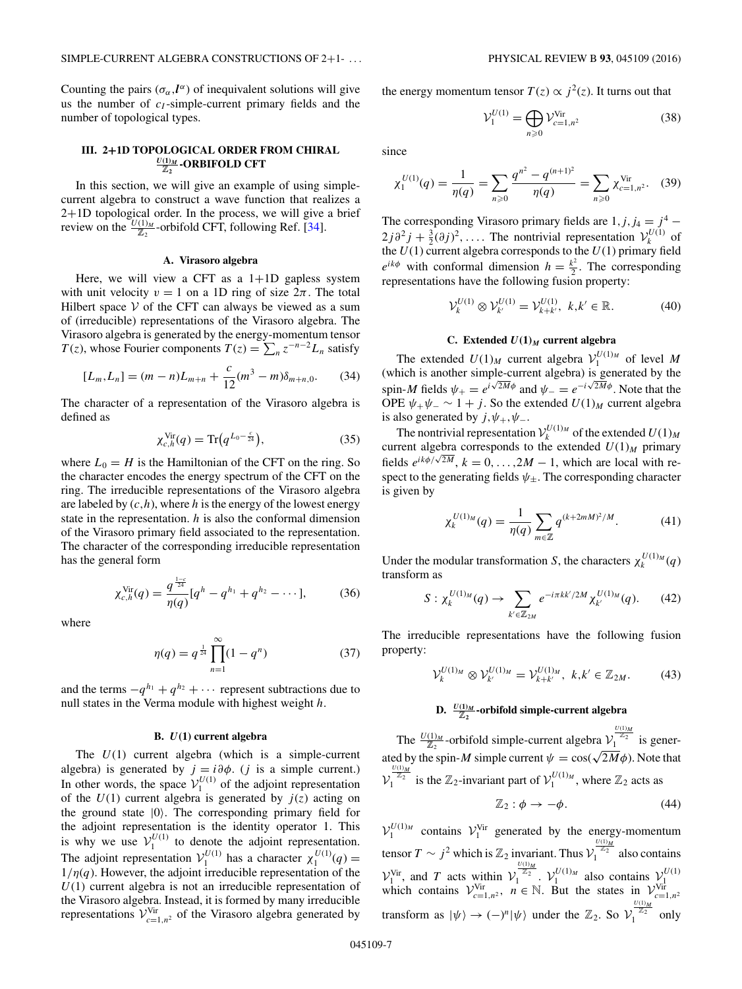<span id="page-7-0"></span>Counting the pairs  $(\sigma_{\alpha}, l^{\alpha})$  of inequivalent solutions will give us the number of *c<sub>I</sub>*-simple-current primary fields and the number of topological types.

# **III. 2+1D TOPOLOGICAL ORDER FROM CHIRAL** *<sup>U</sup>***(1)***<sup>M</sup>* <sup>Z</sup>**<sup>2</sup> -ORBIFOLD CFT**

In this section, we will give an example of using simplecurrent algebra to construct a wave function that realizes a 2+1D topological order. In the process, we will give a brief review on the  $\frac{U(1)_M}{Z_2}$ -orbifold CFT, following Ref. [\[34\]](#page-17-0).

#### **A. Virasoro algebra**

Here, we will view a CFT as a  $1+1D$  gapless system with unit velocity  $v = 1$  on a 1D ring of size  $2\pi$ . The total Hilbert space  $V$  of the CFT can always be viewed as a sum of (irreducible) representations of the Virasoro algebra. The Virasoro algebra is generated by the energy-momentum tensor *T*(*z*), whose Fourier components  $T(z) = \sum_{n} z^{-n-2} L_n$  satisfy

$$
[L_m, L_n] = (m - n)L_{m+n} + \frac{c}{12}(m^3 - m)\delta_{m+n,0}.
$$
 (34)

The character of a representation of the Virasoro algebra is defined as

$$
\chi_{c,h}^{\text{Vir}}(q) = \text{Tr}\big(q^{L_0 - \frac{c}{24}}\big),\tag{35}
$$

where  $L_0 = H$  is the Hamiltonian of the CFT on the ring. So the character encodes the energy spectrum of the CFT on the ring. The irreducible representations of the Virasoro algebra are labeled by  $(c,h)$ , where *h* is the energy of the lowest energy state in the representation. *h* is also the conformal dimension of the Virasoro primary field associated to the representation. The character of the corresponding irreducible representation has the general form

$$
\chi_{c,h}^{\text{Vir}}(q) = \frac{q^{\frac{1-c}{24}}}{\eta(q)} [q^h - q^{h_1} + q^{h_2} - \cdots],\tag{36}
$$

where

$$
\eta(q) = q^{\frac{1}{24}} \prod_{n=1}^{\infty} (1 - q^n) \tag{37}
$$

and the terms  $-q^{h_1} + q^{h_2} + \cdots$  represent subtractions due to null states in the Verma module with highest weight *h*.

#### **B.** *U***(1) current algebra**

The *U*(1) current algebra (which is a simple-current algebra) is generated by  $j = i\partial\phi$ . (*j* is a simple current.) In other words, the space  $V_1^{U(1)}$  of the adjoint representation of the  $U(1)$  current algebra is generated by  $j(z)$  acting on the ground state |0 . The corresponding primary field for the adjoint representation is the identity operator 1. This is why we use  $V_1^{U(1)}$  to denote the adjoint representation. The adjoint representation  $V_1^{U(1)}$  has a character  $\chi_1^{U(1)}(q)$  =  $1/\eta(q)$ . However, the adjoint irreducible representation of the *U*(1) current algebra is not an irreducible representation of the Virasoro algebra. Instead, it is formed by many irreducible representations  $V^{\text{Vir}}_{c=1,n^2}$  of the Virasoro algebra generated by

the energy momentum tensor  $T(z) \propto j^2(z)$ . It turns out that

$$
\mathcal{V}_1^{U(1)} = \bigoplus_{n \geqslant 0} \mathcal{V}_{c=1,n^2}^{\text{Vir}} \tag{38}
$$

since

$$
\chi_1^{U(1)}(q) = \frac{1}{\eta(q)} = \sum_{n\geq 0} \frac{q^{n^2} - q^{(n+1)^2}}{\eta(q)} = \sum_{n\geq 0} \chi_{c=1,n^2}^{\text{Vir}}.
$$
 (39)

The corresponding Virasoro primary fields are  $1, j, j_4 = j^4$  –  $2j\partial^2 j + \frac{3}{2}(\partial j)^2, \ldots$  The nontrivial representation  $\mathcal{V}_k^{U(1)}$  of the  $U(1)$  current algebra corresponds to the  $U(1)$  primary field  $e^{ik\phi}$  with conformal dimension  $h = \frac{k^2}{2}$ . The corresponding representations have the following fusion property:

$$
\mathcal{V}_k^{U(1)} \otimes \mathcal{V}_{k'}^{U(1)} = \mathcal{V}_{k+k'}^{U(1)}, \ k, k' \in \mathbb{R}.\tag{40}
$$

## **C.** Extended  $U(1)_M$  current algebra

The extended  $U(1)_M$  current algebra  $V_1^{U(1)_M}$  of level M (which is another simple-current algebra) is generated by the spin-*M* fields  $\psi_+ = e^{i\sqrt{2M}\phi}$  and  $\psi_- = e^{-i\sqrt{2M}\phi}$ . Note that the OPE  $\psi_+\psi_-\sim 1+j$ . So the extended  $U(1)_M$  current algebra is also generated by  $j, \psi_+, \psi_-.$ 

The nontrivial representation  $V_k^{U(1)_M}$  of the extended  $U(1)_M$ current algebra corresponds to the extended  $U(1)_M$  primary fields  $e^{ik\phi/\sqrt{2M}}$ ,  $k = 0, \ldots, 2M - 1$ , which are local with respect to the generating fields  $\psi_{\pm}$ . The corresponding character is given by

$$
\chi_k^{U(1)_M}(q) = \frac{1}{\eta(q)} \sum_{m \in \mathbb{Z}} q^{(k+2mM)^2/M}.
$$
 (41)

Under the modular transformation *S*, the characters  $\chi_k^{U(1)_M}(q)$ transform as

$$
S: \chi_k^{U(1)_M}(q) \to \sum_{k' \in \mathbb{Z}_{2M}} e^{-i\pi k k'/2M} \chi_{k'}^{U(1)_M}(q). \qquad (42)
$$

The irreducible representations have the following fusion property:

$$
\mathcal{V}_k^{U(1)_M} \otimes \mathcal{V}_{k'}^{U(1)_M} = \mathcal{V}_{k+k'}^{U(1)_M}, \ k, k' \in \mathbb{Z}_{2M}.\tag{43}
$$

# **D.** *<sup>U</sup>***(1)***<sup>M</sup>* <sup>Z</sup>**<sup>2</sup> -orbifold simple-current algebra**

The  $\frac{U(1)_M}{\mathbb{Z}_2}$ -orbifold simple-current algebra  $\mathcal{V}_1^{\frac{U(1)_M}{\mathbb{Z}_2}}$  is generated by the spin-*M* simple current  $\psi = \cos(\sqrt{2M}\phi)$ . Note that  $\mathcal{V}_1^{\frac{U(1)_M}{\mathbb{Z}_2}}$  is the  $\mathbb{Z}_2$ -invariant part of  $\mathcal{V}_1^{U(1)_M}$ , where  $\mathbb{Z}_2$  acts as

$$
\mathbb{Z}_2: \phi \to -\phi. \tag{44}
$$

 $V_1^{U(1)_M}$  contains  $V_1^{Vir}$  generated by the energy-momentum tensor  $T \sim j^2$  which is  $\mathbb{Z}_2$  invariant. Thus  $\mathcal{V}_1^{\frac{U(1)_M}{\mathbb{Z}_2}}$  also contains  $V_1^{\text{Vir}}$ , and *T* acts within  $V_1^{\frac{U(1)_M}{Z_2}}$ .  $V_1^{U(1)_M}$  also contains  $V_1^{U(1)}$ <br>which contains  $V_{c=1,n^2}^{\text{Vir}}$ ,  $n \in \mathbb{N}$ . But the states in  $V_{c=1,n^2}^{\text{Vir}}$ transform as  $|\psi\rangle \rightarrow (-)^n |\psi\rangle$  under the  $\mathbb{Z}_2$ . So  $\mathcal{V}_1^{\frac{U(1)_M}{2_2}}$  only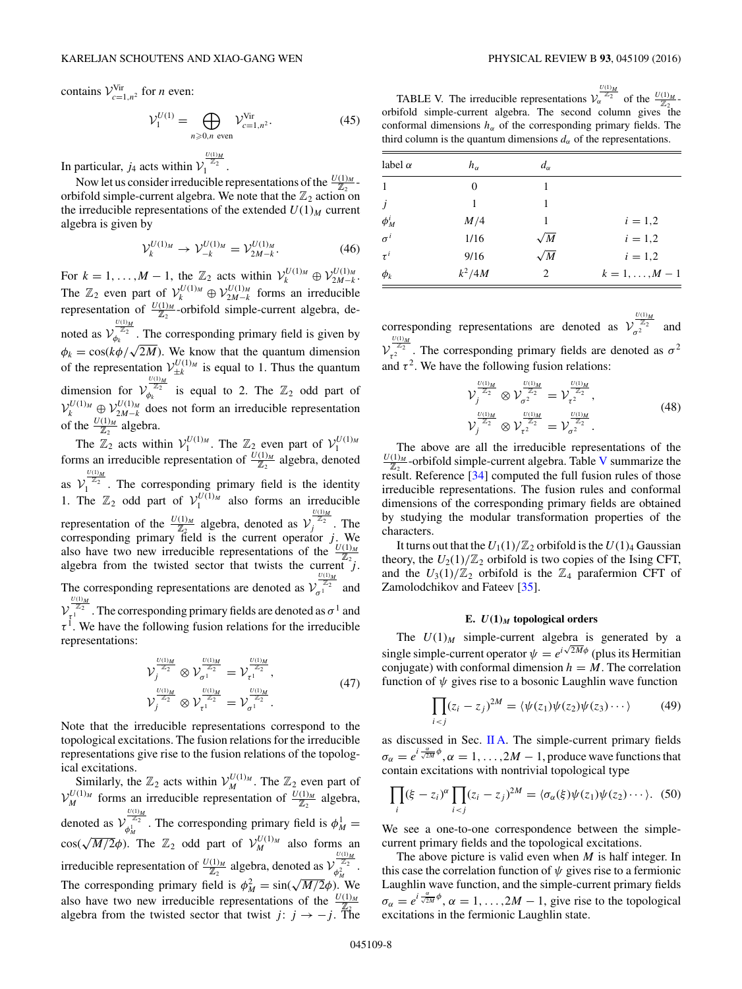contains  $V_{c=1,n^2}^{\text{Vir}}$  for *n* even:

$$
\mathcal{V}_1^{U(1)} = \bigoplus_{n \ge 0, n \text{ even}} \mathcal{V}_{c=1, n^2}^{\text{Vir}}.
$$
 (45)

In particular, *j*<sub>4</sub> acts within  $V_1^{\frac{U(1)_M}{\mathbb{Z}_2}}$ .

Now let us consider irreducible representations of the  $\frac{U(1)_M}{\mathbb{Z}_2}$ orbifold simple-current algebra. We note that the  $\mathbb{Z}_2$  action on the irreducible representations of the extended  $U(1)_M$  current algebra is given by

$$
\mathcal{V}_k^{U(1)_M} \to \mathcal{V}_{-k}^{U(1)_M} = \mathcal{V}_{2M-k}^{U(1)_M}.\tag{46}
$$

For  $k = 1, ..., M - 1$ , the  $\mathbb{Z}_2$  acts within  $\mathcal{V}_k^{U(1)_M} \oplus \mathcal{V}_{2M-k}^{U(1)_M}$ . The  $\mathbb{Z}_2$  even part of  $\mathcal{V}_k^{U(1)_M} \oplus \mathcal{V}_{2M-k}^{U(1)_M}$  forms an irreducible representation of  $\frac{U(1)_M}{Z_2}$ -orbifold simple-current algebra, denoted as  $\mathcal{V}_{\phi_k}^{\frac{U(1)_M}{Z_2}}$ . The corresponding primary field is given by *φ<sub>k</sub>* = cos( $k\phi/\sqrt{2M}$ ). We know that the quantum dimension of the representation  $V_{\pm k}^{U(1)_M}$  is equal to 1. Thus the quantum dimension for  $\mathcal{V}_{\varphi_k}^{\frac{U(1)_M}{\mathbb{Z}_2}}$  is equal to 2. The  $\mathbb{Z}_2$  odd part of  $V_k^{U(1)_M} \oplus V_{2M-k}^{U(1)_M}$  does not form an irreducible representation of the  $\frac{U(1)_M}{\mathbb{Z}_2}$  algebra.

The  $\mathbb{Z}_2$  acts within  $\mathcal{V}_1^{U(1)_M}$ . The  $\mathbb{Z}_2$  even part of  $\mathcal{V}_1^{U(1)_M}$  forms an irreducible representation of  $\frac{U(1)_M}{\mathbb{Z}_2}$  algebra, denoted as  $\mathcal{V}_1^{\frac{U(1)_M}{Z_2}}$ . The corresponding primary field is the identity 1. The  $\mathbb{Z}_2$  odd part of  $\mathcal{V}_1^{U(1)_M}$  also forms an irreducible representation of the  $\frac{U(1)_M}{\mathbb{Z}_2}$  algebra, denoted as  $\mathcal{V}^{\frac{U(1)_M}{2}}_{j}$ . The corresponding primary field is the current operator *j*. We also have two new irreducible representations of the  $\frac{U(1)_M}{Z_2}$ algebra from the twisted sector that twists the current  $\overline{z}_2$ . The corresponding representations are denoted as  $V_{\sigma_1}^{\frac{U(1)_M}{Z_2}}$  and  $V_{\tau^1}^{\frac{U(1)_M}{\mathbb{Z}_2}}$  . The corresponding primary fields are denoted as  $\sigma^1$  and  $\tau^1$ . We have the following fusion relations for the irreducible representations:

$$
\mathcal{V}_{j}^{\frac{U(1)_M}{\mathbb{Z}_2}} \otimes \mathcal{V}_{\sigma^{1}}^{\frac{U(1)_M}{\mathbb{Z}_2}} = \mathcal{V}_{\tau^{1}}^{\frac{U(1)_M}{\mathbb{Z}_2}}, \n\mathcal{V}_{j}^{\frac{U(1)_M}{\mathbb{Z}_2}} \otimes \mathcal{V}_{\tau^{1}}^{\frac{U(1)_M}{\mathbb{Z}_2}} = \mathcal{V}_{\sigma^{1}}^{\frac{U(1)_M}{\mathbb{Z}_2}}.
$$
\n(47)

Note that the irreducible representations correspond to the topological excitations. The fusion relations for the irreducible representations give rise to the fusion relations of the topological excitations.

Similarly, the  $\mathbb{Z}_2$  acts within  $\mathcal{V}_{M}^{U(1)_M}$ . The  $\mathbb{Z}_2$  even part of  $V_M^{U(1)_M}$  forms an irreducible representation of  $\frac{U(1)_M}{\mathbb{Z}_2}$  algebra, denoted as  $\mathcal{V}_{\phi_M^1}^{\frac{U(1)_M}{\mathbb{Z}_2}}$  $\phi_M^{\mathbb{Z}_2}$ . The corresponding primary field is  $\phi_M^1$  =  $\cos(\sqrt{M/2}\phi)$ . The  $\mathbb{Z}_2$  odd part of  $\mathcal{V}_M^{U(1)_M}$  also forms and irreducible representation of  $\frac{U(1)_M}{Z_2}$  algebra, denoted as  $\mathcal{V}_{\phi_M^2}^{\frac{U(1)_M}{Z_2}}$  $\phi_M^{2}$  . The corresponding primary field is  $\phi_M^2 = \sin(\sqrt{M/2}\phi)$ . We also have two new irreducible representations of the  $\frac{U(1)_M}{Z_2}$ algebra from the twisted sector that twist *j*:  $j \rightarrow -j$ . The

TABLE V. The irreducible representations  $V_{\alpha}^{\frac{U(1)_M}{Z_2}}$  of the  $\frac{U(1)_M}{Z_2}$ . orbifold simple-current algebra. The second column gives the conformal dimensions  $h_{\alpha}$  of the corresponding primary fields. The third column is the quantum dimensions  $d_{\alpha}$  of the representations.

| label $\alpha$ | $h_{\alpha}$ | $d_{\alpha}$ |                  |
|----------------|--------------|--------------|------------------|
| $\mathbf{1}$   | $\theta$     |              |                  |
| $\dot{J}$      | 1            | 1            |                  |
| $\phi_M^i$     | M/4          |              | $i = 1,2$        |
| $\sigma^i$     | 1/16         | $\sqrt{M}$   | $i = 1,2$        |
| $\tau^i$       | 9/16         | $\sqrt{M}$   | $i = 1,2$        |
| $\phi_k$       | $k^2/4M$     | 2            | $k = 1, , M - 1$ |

corresponding representations are denoted as  $\mathcal{V}_{\sigma^2}^{\frac{U(1)_M}{Z_2}}$  and  $v_{\tau_2}^{\frac{U(1)_M}{Z_2}}$ . The corresponding primary fields are denoted as  $\sigma^2$ 

and  $\tau^2$ . We have the following fusion relations:

$$
\mathcal{V}_{j}^{\frac{U(1)_M}{Z_2}} \otimes \mathcal{V}_{\sigma}^{\frac{U(1)_M}{Z_2}} = \mathcal{V}_{\tau}^{\frac{U(1)_M}{Z_2}},
$$
\n
$$
\mathcal{V}_{j}^{\frac{U(1)_M}{Z_2}} \otimes \mathcal{V}_{\tau^2}^{\frac{U(1)_M}{Z_2}} = \mathcal{V}_{\sigma^2}^{\frac{U(1)_M}{Z_2}}.
$$
\n(48)

The above are all the irreducible representations of the  $\frac{U(1)_M}{\mathbb{Z}_2}$ -orbifold simple-current algebra. Table V summarize the result. Reference [\[34\]](#page-17-0) computed the full fusion rules of those irreducible representations. The fusion rules and conformal dimensions of the corresponding primary fields are obtained by studying the modular transformation properties of the characters.

It turns out that the  $U_1(1)/\mathbb{Z}_2$  orbifold is the  $U(1)_4$  Gaussian theory, the  $U_2(1)/\mathbb{Z}_2$  orbifold is two copies of the Ising CFT, and the  $U_3(1)/\mathbb{Z}_2$  orbifold is the  $\mathbb{Z}_4$  parafermion CFT of Zamolodchikov and Fateev [\[35\]](#page-17-0).

# **E.**  $U(1)_M$  **topological orders**

The  $U(1)_M$  simple-current algebra is generated by a single simple-current operator  $\psi = e^{i\sqrt{2M}\phi}$  (plus its Hermitian conjugate) with conformal dimension  $h = M$ . The correlation function of  $\psi$  gives rise to a bosonic Laughlin wave function

$$
\prod_{i < j} (z_i - z_j)^{2M} = \langle \psi(z_1) \psi(z_2) \psi(z_3) \cdots \rangle \tag{49}
$$

as discussed in Sec. [II A.](#page-5-0) The simple-current primary fields  $\sigma_{\alpha} = e^{i \frac{\alpha}{\sqrt{2M}} \phi}, \alpha = 1, \ldots, 2M - 1$ , produce wave functions that contain excitations with nontrivial topological type

$$
\prod_i (\xi - z_i)^{\alpha} \prod_{i < j} (z_i - z_j)^{2M} = \langle \sigma_{\alpha}(\xi) \psi(z_1) \psi(z_2) \cdots \rangle. \tag{50}
$$

We see a one-to-one correspondence between the simplecurrent primary fields and the topological excitations.

The above picture is valid even when *M* is half integer. In this case the correlation function of  $\psi$  gives rise to a fermionic Laughlin wave function, and the simple-current primary fields  $\sigma_{\alpha} = e^{i \frac{\alpha}{\sqrt{2M}} \phi}, \alpha = 1, \ldots, 2M - 1$ , give rise to the topological excitations in the fermionic Laughlin state.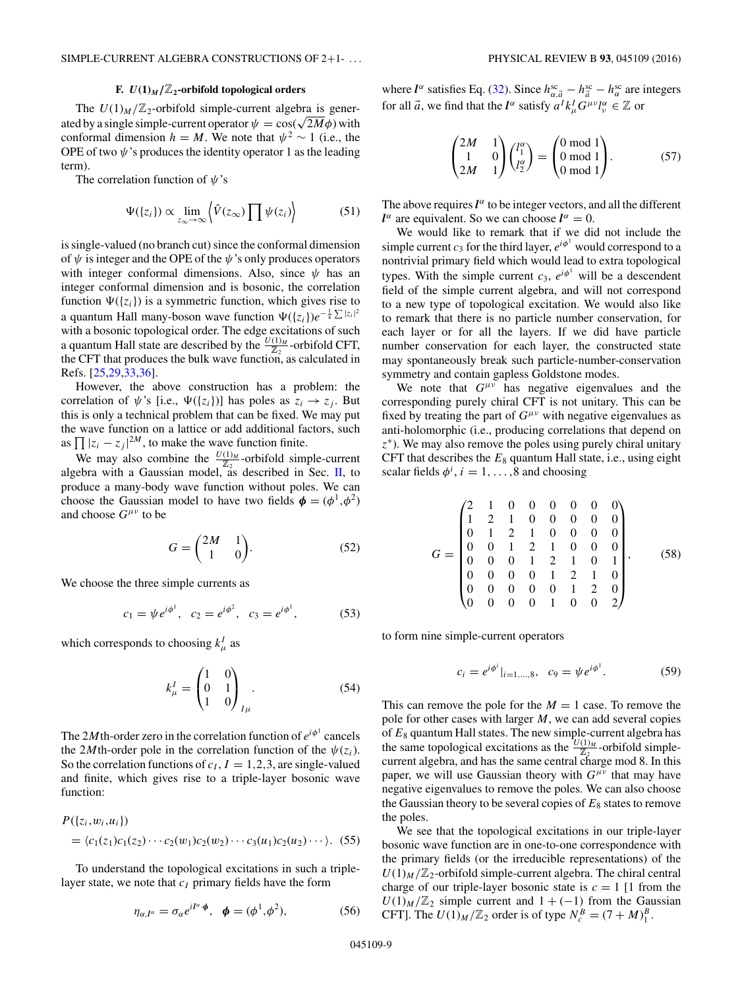## **F.**  $U(1)_M/\mathbb{Z}_2$ -orbifold topological orders

The  $U(1)_M/\mathbb{Z}_2$ -orbifold simple-current algebra is generated by a single simple-current operator  $\psi = \cos(\sqrt{2M}\phi)$  with conformal dimension *h* = *M*. We note that  $\psi^2 \sim 1$  (i.e., the OPE of two  $\psi$ 's produces the identity operator 1 as the leading term).

The correlation function of *ψ*'s

$$
\Psi(\{z_i\}) \propto \lim_{z_\infty \to \infty} \left\langle \hat{V}(z_\infty) \prod \psi(z_i) \right\rangle \tag{51}
$$

is single-valued (no branch cut) since the conformal dimension of  $\psi$  is integer and the OPE of the  $\psi$ 's only produces operators with integer conformal dimensions. Also, since *ψ* has an integer conformal dimension and is bosonic, the correlation function  $\Psi({z_i})$  is a symmetric function, which gives rise to a quantum Hall many-boson wave function  $\Psi(\lbrace z_i \rbrace) e^{-\frac{1}{4} \sum |z_i|^2}$ with a bosonic topological order. The edge excitations of such a quantum Hall state are described by the  $\frac{U(1)_M}{\mathbb{Z}_2}$ -orbifold CFT, the CFT that produces the bulk wave function, as calculated in Refs. [\[25,29,33,36\]](#page-17-0).

However, the above construction has a problem: the correlation of  $\psi$ 's [i.e.,  $\Psi({z_i})$ ] has poles as  $z_i \to z_j$ . But this is only a technical problem that can be fixed. We may put the wave function on a lattice or add additional factors, such as  $\prod |z_i - z_j|^{2M}$ , to make the wave function finite.

We may also combine the  $\frac{U(1)_M}{Z_2}$ -orbifold simple-current algebra with a Gaussian model, as described in Sec. [II,](#page-5-0) to produce a many-body wave function without poles. We can choose the Gaussian model to have two fields  $\phi = (\phi^1, \phi^2)$ and choose *Gμν* to be

$$
G = \begin{pmatrix} 2M & 1 \\ 1 & 0 \end{pmatrix}.
$$
 (52)

We choose the three simple currents as

$$
c_1 = \psi e^{i\phi^1}, \quad c_2 = e^{i\phi^2}, \quad c_3 = e^{i\phi^1},
$$
 (53)

which corresponds to choosing  $k^I_\mu$  as

$$
k_{\mu}^{I} = \begin{pmatrix} 1 & 0 \\ 0 & 1 \\ 1 & 0 \end{pmatrix}_{I\mu}.
$$
 (54)

The 2*M*th-order zero in the correlation function of  $e^{i\phi^1}$  cancels the 2*M*<sup>th</sup>-order pole in the correlation function of the  $\psi(z_i)$ . So the correlation functions of  $c_I$ ,  $I = 1, 2, 3$ , are single-valued and finite, which gives rise to a triple-layer bosonic wave function:

$$
P({z_i, w_i, u_i})
$$
  
=  $\langle c_1(z_1)c_1(z_2) \cdots c_2(w_1)c_2(w_2) \cdots c_3(u_1)c_2(u_2) \cdots \rangle$ . (55)

To understand the topological excitations in such a triplelayer state, we note that  $c_I$  primary fields have the form

$$
\eta_{\alpha,l^{\alpha}} = \sigma_{\alpha} e^{il^{\alpha} \cdot \phi}, \quad \phi = (\phi^1, \phi^2), \tag{56}
$$

where  $l^{\alpha}$  satisfies Eq. [\(32\)](#page-6-0). Since  $h_{\alpha, \vec{a}}^{sc} - h_{\vec{a}}^{sc} - h_{\alpha}^{sc}$  are integers for all  $\vec{a}$ , we find that the  $\vec{l}^{\alpha}$  satisfy  $a^{I}k_{\mu}^{I}G^{\mu\nu}l_{\nu}^{\alpha} \in \mathbb{Z}$  or

$$
\begin{pmatrix} 2M & 1 \\ 1 & 0 \\ 2M & 1 \end{pmatrix} \begin{pmatrix} l_1^{\alpha} \\ l_2^{\alpha} \end{pmatrix} = \begin{pmatrix} 0 \text{ mod } 1 \\ 0 \text{ mod } 1 \\ 0 \text{ mod } 1 \end{pmatrix}.
$$
 (57)

The above requires  $l^{\alpha}$  to be integer vectors, and all the different *l*<sup> $\alpha$ </sup> are equivalent. So we can choose  $l^{\alpha} = 0$ .

We would like to remark that if we did not include the simple current  $c_3$  for the third layer,  $e^{i\phi^1}$  would correspond to a nontrivial primary field which would lead to extra topological types. With the simple current  $c_3$ ,  $e^{i\phi^1}$  will be a descendent field of the simple current algebra, and will not correspond to a new type of topological excitation. We would also like to remark that there is no particle number conservation, for each layer or for all the layers. If we did have particle number conservation for each layer, the constructed state may spontaneously break such particle-number-conservation symmetry and contain gapless Goldstone modes.

We note that  $G^{\mu\nu}$  has negative eigenvalues and the corresponding purely chiral CFT is not unitary. This can be fixed by treating the part of  $G^{\mu\nu}$  with negative eigenvalues as anti-holomorphic (i.e., producing correlations that depend on *z*<sup>∗</sup>). We may also remove the poles using purely chiral unitary CFT that describes the  $E_8$  quantum Hall state, i.e., using eight scalar fields  $\phi^i$ ,  $i = 1, \ldots, 8$  and choosing

$$
G = \begin{pmatrix} 2 & 1 & 0 & 0 & 0 & 0 & 0 & 0 \\ 1 & 2 & 1 & 0 & 0 & 0 & 0 & 0 \\ 0 & 1 & 2 & 1 & 0 & 0 & 0 & 0 \\ 0 & 0 & 1 & 2 & 1 & 0 & 0 & 0 \\ 0 & 0 & 0 & 1 & 2 & 1 & 0 & 1 \\ 0 & 0 & 0 & 0 & 1 & 2 & 1 & 0 \\ 0 & 0 & 0 & 0 & 0 & 1 & 2 & 0 \\ 0 & 0 & 0 & 0 & 1 & 0 & 0 & 2 \end{pmatrix},
$$
(58)

to form nine simple-current operators

$$
c_i = e^{i\phi^i}|_{i=1,\dots,8}, \quad c_9 = \psi e^{i\phi^1}.
$$
 (59)

This can remove the pole for the  $M = 1$  case. To remove the pole for other cases with larger *M*, we can add several copies of *E*<sup>8</sup> quantum Hall states. The new simple-current algebra has the same topological excitations as the  $\frac{U(1)_M}{Z_2}$ -orbifold simplecurrent algebra, and has the same central charge mod 8. In this paper, we will use Gaussian theory with  $G^{\mu\nu}$  that may have negative eigenvalues to remove the poles. We can also choose the Gaussian theory to be several copies of  $E_8$  states to remove the poles.

We see that the topological excitations in our triple-layer bosonic wave function are in one-to-one correspondence with the primary fields (or the irreducible representations) of the  $U(1)_M/\mathbb{Z}_2$ -orbifold simple-current algebra. The chiral central charge of our triple-layer bosonic state is  $c = 1$  [1 from the  $U(1)_M/\mathbb{Z}_2$  simple current and  $1 + (-1)$  from the Gaussian CFT]. The  $U(1)_M / \mathbb{Z}_2$  order is of type  $N_c^B = (7 + M)_1^B$ .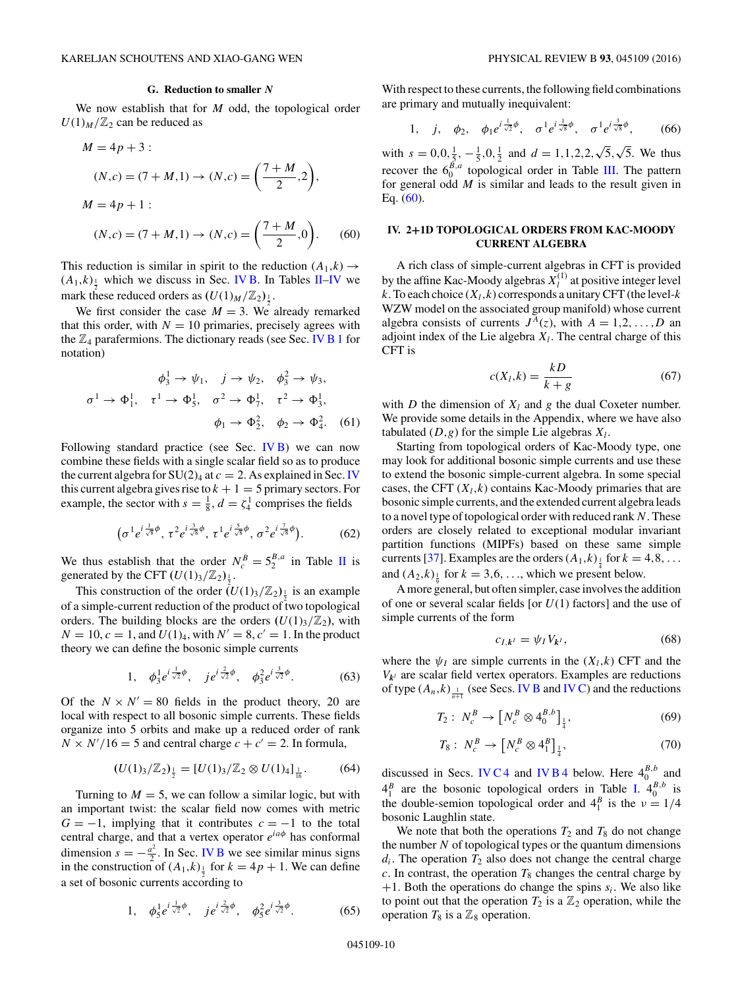<span id="page-10-0"></span>We now establish that for *M* odd, the topological order  $U(1)_M/\mathbb{Z}_2$  can be reduced as

$$
M = 4p + 3:
$$
  
\n
$$
(N, c) = (7 + M, 1) \rightarrow (N, c) = \left(\frac{7 + M}{2}, 2\right),
$$
  
\n
$$
M = 4p + 1:
$$
  
\n
$$
(N, c) = (7 + M, 1) \rightarrow (N, c) = \left(\frac{7 + M}{2}, 0\right).
$$
 (60)

This reduction is similar in spirit to the reduction  $(A_1,k) \rightarrow$  $(A_1,k)$ <sub> $\frac{1}{2}$ </sub> which we discuss in Sec. [IV B.](#page-11-0) In Tables [II](#page-2-0)[–IV](#page-4-0) we mark these reduced orders as  $(U(1)_M/\mathbb{Z}_2)_{\frac{1}{2}}$ .

We first consider the case  $M = 3$ . We already remarked that this order, with  $N = 10$  primaries, precisely agrees with the  $\mathbb{Z}_4$  parafermions. The dictionary reads (see Sec. [IV B 1](#page-12-0) for notation)

$$
\phi_3^1 \to \psi_1, \quad j \to \psi_2, \quad \phi_3^2 \to \psi_3,
$$
  

$$
\sigma^1 \to \Phi_1^1, \quad \tau^1 \to \Phi_5^1, \quad \sigma^2 \to \Phi_7^1, \quad \tau^2 \to \Phi_3^1,
$$
  

$$
\phi_1 \to \Phi_2^2, \quad \phi_2 \to \Phi_4^2. \quad (61)
$$

Following standard practice (see Sec. [IV B\)](#page-11-0) we can now combine these fields with a single scalar field so as to produce the current algebra for  $SU(2)_4$  at  $c = 2$ . As explained in Sec. IV this current algebra gives rise to  $k + 1 = 5$  primary sectors. For example, the sector with  $s = \frac{1}{8}$ ,  $d = \zeta_4^1$  comprises the fields

$$
\left(\sigma^1 e^{i\frac{1}{\sqrt{8}}\phi}, \tau^2 e^{i\frac{3}{\sqrt{8}}\phi}, \tau^1 e^{i\frac{5}{\sqrt{8}}\phi}, \sigma^2 e^{i\frac{7}{\sqrt{8}}\phi}\right).
$$
 (62)

We thus establish that the order  $N_c^B = 5_2^{B,a}$  in Table [II](#page-2-0) is generated by the CFT  $(U(1)_3/\mathbb{Z}_2)_{\frac{1}{2}}$ .

This construction of the order  $(U(1)_3/\mathbb{Z}_2)_{\frac{1}{2}}$  is an example of a simple-current reduction of the product of two topological orders. The building blocks are the orders  $(U(1)_3/\mathbb{Z}_2)$ , with  $N = 10$ ,  $c = 1$ , and  $U(1)_4$ , with  $N' = 8$ ,  $c' = 1$ . In the product theory we can define the bosonic simple currents

1, 
$$
\phi_3^1 e^{i \frac{1}{\sqrt{2}} \phi}
$$
,  $je^{i \frac{2}{\sqrt{2}} \phi}$ ,  $\phi_3^2 e^{i \frac{3}{\sqrt{2}} \phi}$ . (63)

Of the  $N \times N' = 80$  fields in the product theory, 20 are local with respect to all bosonic simple currents. These fields organize into 5 orbits and make up a reduced order of rank  $N \times N'/16 = 5$  and central charge  $c + c' = 2$ . In formula,

$$
(U(1)_3/\mathbb{Z}_2)_{\frac{1}{2}} = [U(1)_3/\mathbb{Z}_2 \otimes U(1)_4]_{\frac{1}{16}}.
$$
 (64)

Turning to  $M = 5$ , we can follow a similar logic, but with an important twist: the scalar field now comes with metric  $G = -1$ , implying that it contributes  $c = -1$  to the total central charge, and that a vertex operator *eiaφ* has conformal dimension  $s = -\frac{a^2}{2}$ . In Sec. [IV B](#page-11-0) we see similar minus signs in the construction of  $(A_1,k)$ <sub> $\frac{1}{2}$ </sub> for  $k = 4p + 1$ . We can define a set of bosonic currents according to

1, 
$$
\phi_5^1 e^{i\frac{1}{\sqrt{2}}\phi}
$$
,  $je^{i\frac{2}{\sqrt{2}}\phi}$ ,  $\phi_5^2 e^{i\frac{3}{\sqrt{2}}\phi}$ . (65)

With respect to these currents, the following field combinations are primary and mutually inequivalent:

1, *j*, 
$$
\phi_2
$$
,  $\phi_1 e^{i\frac{1}{\sqrt{2}}\phi}$ ,  $\sigma^1 e^{i\frac{1}{\sqrt{8}}\phi}$ ,  $\sigma^1 e^{i\frac{3}{\sqrt{8}}\phi}$ , (66)

with  $s = 0, 0, \frac{1}{5}, -\frac{1}{5}, 0, \frac{1}{2}$  and  $d = 1, 1, 2, 2,$ 5*,* 5. We thus recover the  $6_0^{B,a}$  topological order in Table [III.](#page-3-0) The pattern for general odd *M* is similar and leads to the result given in Eq. (60).

### **IV. 2+1D TOPOLOGICAL ORDERS FROM KAC-MOODY CURRENT ALGEBRA**

A rich class of simple-current algebras in CFT is provided by the affine Kac-Moody algebras  $X_l^{(1)}$  at positive integer level  $k$ . To each choice  $(X_l, k)$  corresponds a unitary CFT (the level- $k$ WZW model on the associated group manifold) whose current algebra consists of currents  $J<sup>A</sup>(z)$ , with  $A = 1, 2, \ldots, D$  and adjoint index of the Lie algebra  $X_l$ . The central charge of this CFT is

$$
c(X_l, k) = \frac{kD}{k+g} \tag{67}
$$

with *D* the dimension of  $X_l$  and *g* the dual Coxeter number. We provide some details in the Appendix, where we have also tabulated  $(D, g)$  for the simple Lie algebras  $X_l$ .

Starting from topological orders of Kac-Moody type, one may look for additional bosonic simple currents and use these to extend the bosonic simple-current algebra. In some special cases, the CFT  $(X_l, k)$  contains Kac-Moody primaries that are bosonic simple currents, and the extended current algebra leads to a novel type of topological order with reduced rank *N*. These orders are closely related to exceptional modular invariant partition functions (MIPFs) based on these same simple currents [\[37\]](#page-17-0). Examples are the orders  $(A_1,k)_{\frac{1}{4}}$  for  $k = 4,8,...$ and  $(A_2,k)$ <sub> $\frac{1}{9}$ </sub> for  $k = 3,6,...$ , which we present below.

A more general, but often simpler, case involves the addition of one or several scalar fields [or *U*(1) factors] and the use of simple currents of the form

$$
c_{I,k^I} = \psi_I V_{k^I},\tag{68}
$$

where the  $\psi_I$  are simple currents in the  $(X_l, k)$  CFT and the  $V_{k}$ <sup>*l*</sup> are scalar field vertex operators. Examples are reductions of type  $(A_n, k)$ <sub> $\frac{1}{n+1}$ </sub> (see Secs. [IV B](#page-11-0) and [IV C\)](#page-13-0) and the reductions

$$
T_2: N_c^B \to \left[ N_c^B \otimes 4_0^{B,b} \right]_{\frac{1}{4}}, \tag{69}
$$

$$
T_8: N_c^B \to \left[ N_c^B \otimes 4_1^B \right]_{\frac{1}{4}},\tag{70}
$$

discussed in Secs. [IV C 4](#page-14-0) and [IV B 4](#page-13-0) below. Here  $4_0^{B,b}$  and  $4_1^B$  are the bosonic topological orders in Table [I.](#page-2-0)  $4_0^{B,b}$  is the double-semion topological order and  $4^B_1$  is the  $v = 1/4$ bosonic Laughlin state.

We note that both the operations  $T_2$  and  $T_8$  do not change the number *N* of topological types or the quantum dimensions  $d_i$ . The operation  $T_2$  also does not change the central charge  $c$ . In contrast, the operation  $T_8$  changes the central charge by  $+1$ . Both the operations do change the spins  $s_i$ . We also like to point out that the operation  $T_2$  is a  $\mathbb{Z}_2$  operation, while the operation  $T_8$  is a  $\mathbb{Z}_8$  operation.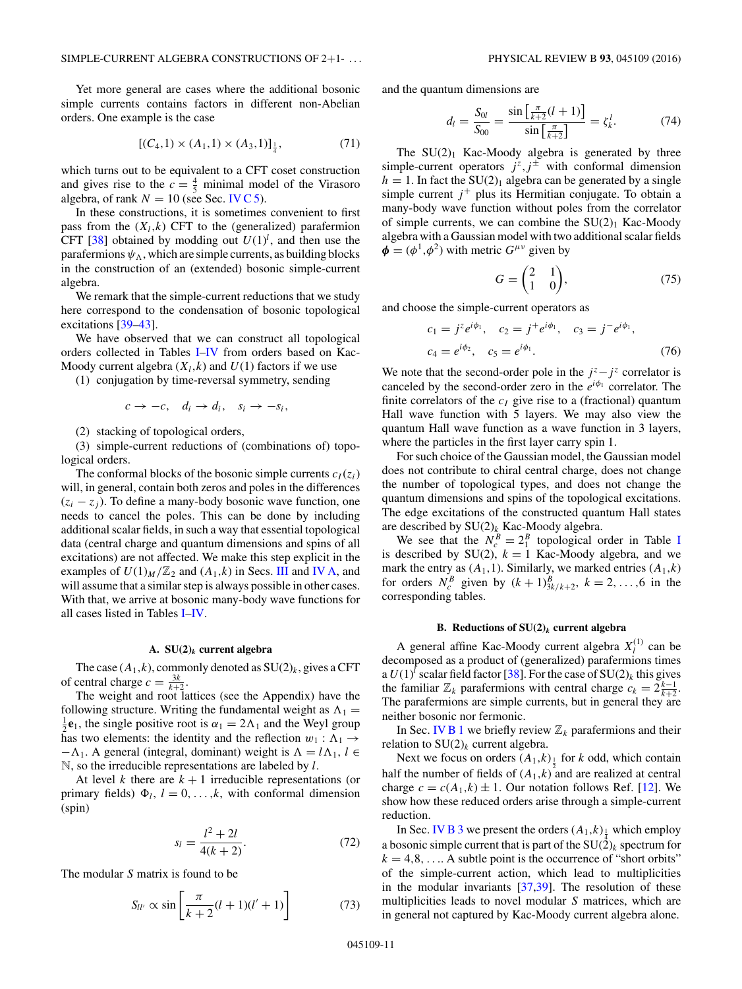<span id="page-11-0"></span>Yet more general are cases where the additional bosonic simple currents contains factors in different non-Abelian orders. One example is the case

$$
[(C_4,1)\times(A_1,1)\times(A_3,1)]_{\frac{1}{4}},\tag{71}
$$

which turns out to be equivalent to a CFT coset construction and gives rise to the  $c = \frac{4}{5}$  minimal model of the Virasoro algebra, of rank  $N = 10$  (see Sec. [IV C 5\)](#page-14-0).

In these constructions, it is sometimes convenient to first pass from the  $(X_l, k)$  CFT to the (generalized) parafermion CFT [\[38\]](#page-17-0) obtained by modding out  $U(1)^l$ , and then use the parafermions  $\psi_{\Lambda}$ , which are simple currents, as building blocks in the construction of an (extended) bosonic simple-current algebra.

We remark that the simple-current reductions that we study here correspond to the condensation of bosonic topological excitations [\[39–43\]](#page-17-0).

We have observed that we can construct all topological orders collected in Tables [I–](#page-2-0)[IV](#page-4-0) from orders based on Kac-Moody current algebra  $(X_l, k)$  and  $U(1)$  factors if we use

(1) conjugation by time-reversal symmetry, sending

$$
c \to -c, \quad d_i \to d_i, \quad s_i \to -s_i,
$$

(2) stacking of topological orders,

(3) simple-current reductions of (combinations of) topological orders.

The conformal blocks of the bosonic simple currents  $c_I(z_i)$ will, in general, contain both zeros and poles in the differences (*zi* − *zj* ). To define a many-body bosonic wave function, one needs to cancel the poles. This can be done by including additional scalar fields, in such a way that essential topological data (central charge and quantum dimensions and spins of all excitations) are not affected. We make this step explicit in the examples of  $U(1)_M/\mathbb{Z}_2$  and  $(A_1,k)$  in Secs. [III](#page-7-0) and IV A, and will assume that a similar step is always possible in other cases. With that, we arrive at bosonic many-body wave functions for all cases listed in Tables [I–](#page-2-0)[IV.](#page-4-0)

#### **A. SU(2)***<sup>k</sup>* **current algebra**

The case  $(A_1, k)$ , commonly denoted as  $SU(2)_k$ , gives a CFT of central charge  $c = \frac{3k}{k+2}$ .

The weight and root lattices (see the Appendix) have the following structure. Writing the fundamental weight as  $\Lambda_1 =$  $\frac{1}{2}$ **e**<sub>1</sub>, the single positive root is  $\alpha_1 = 2\Lambda_1$  and the Weyl group has two elements: the identity and the reflection  $w_1 : \Lambda_1 \rightarrow$  $-\Lambda_1$ . A general (integral, dominant) weight is  $\Lambda = l\Lambda_1$ ,  $l \in$ N, so the irreducible representations are labeled by *l*.

At level *k* there are  $k + 1$  irreducible representations (or primary fields)  $\Phi_l$ ,  $l = 0, \ldots, k$ , with conformal dimension (spin)

$$
s_l = \frac{l^2 + 2l}{4(k+2)}.\tag{72}
$$

The modular *S* matrix is found to be

$$
S_{ll'} \propto \sin\left[\frac{\pi}{k+2}(l+1)(l'+1)\right] \tag{73}
$$

and the quantum dimensions are

$$
d_l = \frac{S_{0l}}{S_{00}} = \frac{\sin\left[\frac{\pi}{k+2}(l+1)\right]}{\sin\left[\frac{\pi}{k+2}\right]} = \zeta_k^l. \tag{74}
$$

The  $SU(2)_1$  Kac-Moody algebra is generated by three simple-current operators  $j^z$ ,  $j^{\pm}$  with conformal dimension  $h = 1$ . In fact the SU(2)<sub>1</sub> algebra can be generated by a single simple current  $i^+$  plus its Hermitian conjugate. To obtain a many-body wave function without poles from the correlator of simple currents, we can combine the  $SU(2)_1$  Kac-Moody algebra with a Gaussian model with two additional scalar fields  $\phi = (\phi^1, \phi^2)$  with metric  $G^{\mu\nu}$  given by

$$
G = \begin{pmatrix} 2 & 1 \\ 1 & 0 \end{pmatrix}, \tag{75}
$$

and choose the simple-current operators as

$$
c_1 = j^z e^{i\phi_1}, \quad c_2 = j^+ e^{i\phi_1}, \quad c_3 = j^- e^{i\phi_1},
$$
  

$$
c_4 = e^{i\phi_2}, \quad c_5 = e^{i\phi_1}.
$$
 (76)

We note that the second-order pole in the  $j^z - j^z$  correlator is canceled by the second-order zero in the  $e^{i\phi_1}$  correlator. The finite correlators of the  $c_I$  give rise to a (fractional) quantum Hall wave function with 5 layers. We may also view the quantum Hall wave function as a wave function in 3 layers, where the particles in the first layer carry spin 1.

For such choice of the Gaussian model, the Gaussian model does not contribute to chiral central charge, does not change the number of topological types, and does not change the quantum dimensions and spins of the topological excitations. The edge excitations of the constructed quantum Hall states are described by SU(2)*<sup>k</sup>* Kac-Moody algebra.

We see that the  $N_c^B = 2_1^B$  topological order in Table [I](#page-2-0) is described by  $SU(2)$ ,  $k = 1$  Kac-Moody algebra, and we mark the entry as  $(A_1, 1)$ . Similarly, we marked entries  $(A_1, k)$ for orders  $N_c^B$  given by  $(k + 1)_{3k/k+2}^B$ ,  $k = 2, ..., 6$  in the corresponding tables.

## **B. Reductions of SU(2)***<sup>k</sup>* **current algebra**

A general affine Kac-Moody current algebra  $X_l^{(1)}$  can be decomposed as a product of (generalized) parafermions times a  $U(1)^l$  scalar field factor [\[38\]](#page-17-0). For the case of  $SU(2)_k$  this gives the familiar  $\mathbb{Z}_k$  parafermions with central charge  $c_k = 2^{\frac{k-1}{k+2}}$ . The parafermions are simple currents, but in general they are neither bosonic nor fermonic.

In Sec. [IV B 1](#page-12-0) we briefly review  $\mathbb{Z}_k$  parafermions and their relation to  $SU(2)_k$  current algebra.

Next we focus on orders  $(A_1, k)$ <sub> $\frac{1}{2}$ </sub> for *k* odd, which contain half the number of fields of  $(A_1,k)$  and are realized at central charge  $c = c(A_1,k) \pm 1$ . Our notation follows Ref. [\[12\]](#page-17-0). We show how these reduced orders arise through a simple-current reduction.

In Sec. [IV B 3](#page-13-0) we present the orders  $(A_1, k)$ <sub> $\frac{1}{4}$ </sub> which employ a bosonic simple current that is part of the  $SU(2)_k$  spectrum for  $k = 4, 8, \ldots$ . A subtle point is the occurrence of "short orbits" of the simple-current action, which lead to multiplicities in the modular invariants [\[37,39\]](#page-17-0). The resolution of these multiplicities leads to novel modular *S* matrices, which are in general not captured by Kac-Moody current algebra alone.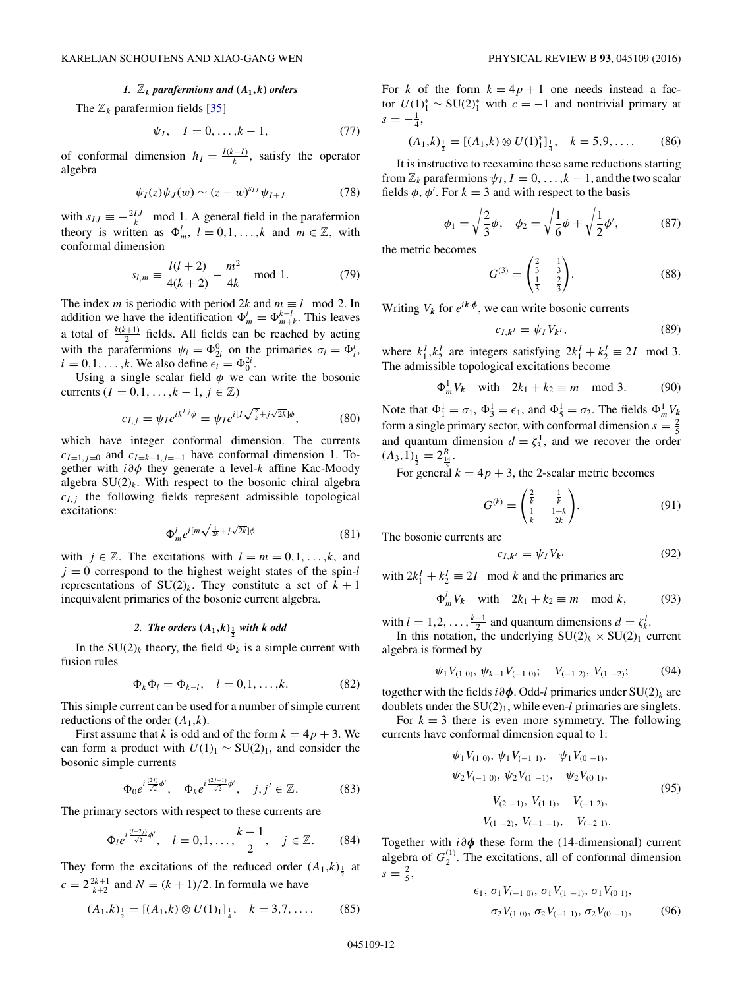#### *1.*  $\mathbb{Z}_k$  *parafermions and*  $(A_1, k)$  *orders*

<span id="page-12-0"></span>The  $\mathbb{Z}_k$  parafermion fields [\[35\]](#page-17-0)

$$
\psi_I, \quad I = 0, \dots, k - 1,\tag{77}
$$

of conformal dimension  $h_I = \frac{I(k-I)}{k}$ , satisfy the operator algebra

$$
\psi_I(z)\psi_J(w) \sim (z-w)^{s_{IJ}}\psi_{I+J}
$$
 (78)

with  $s_{IJ} \equiv -\frac{2IJ}{k}$  mod 1. A general field in the parafermion theory is written as  $\Phi_m^l$ ,  $l = 0, 1, ..., k$  and  $m \in \mathbb{Z}$ , with conformal dimension

$$
s_{l,m} \equiv \frac{l(l+2)}{4(k+2)} - \frac{m^2}{4k} \mod 1.
$$
 (79)

The index *m* is periodic with period 2*k* and  $m \equiv l \mod 2$ . In addition we have the identification  $\Phi_m^l = \Phi_{m+k}^{k-l}$ . This leaves a total of  $\frac{k(k+1)}{2}$  fields. All fields can be reached by acting with the parafermions  $\psi_i = \Phi_{2i}^0$  on the primaries  $\sigma_i = \Phi_i^i$ ,  $i = 0, 1, ..., k$ . We also define  $\epsilon_i = \Phi_0^{2i}$ .

Using a single scalar field  $\phi$  we can write the bosonic currents  $(I = 0, 1, \ldots, k - 1, j \in \mathbb{Z})$ 

$$
c_{I,j} = \psi_I e^{ik^{I,j}\phi} = \psi_I e^{i[I\sqrt{\frac{2}{k}} + j\sqrt{2k}]\phi},
$$
 (80)

which have integer conformal dimension. The currents  $c_{I=1,j=0}$  and  $c_{I=k-1,j=-1}$  have conformal dimension 1. Together with *i∂φ* they generate a level-*k* affine Kac-Moody algebra  $SU(2)_k$ . With respect to the bosonic chiral algebra  $c_{I,j}$  the following fields represent admissible topological excitations:

$$
\Phi_m^l e^{i[m\sqrt{\frac{1}{2k}} + j\sqrt{2k}]\phi}
$$
\n(81)

with  $j \in \mathbb{Z}$ . The excitations with  $l = m = 0, 1, \ldots, k$ , and  $j = 0$  correspond to the highest weight states of the spin-*l* representations of  $SU(2)_k$ . They constitute a set of  $k+1$ inequivalent primaries of the bosonic current algebra.

# 2. The orders  $(A_1,k)_{\frac{1}{2}}$  with k odd

In the  $SU(2)_k$  theory, the field  $\Phi_k$  is a simple current with fusion rules

$$
\Phi_k \Phi_l = \Phi_{k-l}, \quad l = 0, 1, \dots, k. \tag{82}
$$

This simple current can be used for a number of simple current reductions of the order  $(A_1,k)$ .

First assume that *k* is odd and of the form  $k = 4p + 3$ . We can form a product with  $U(1)_1 \sim SU(2)_1$ , and consider the bosonic simple currents

$$
\Phi_0 e^{i\frac{(2j)}{\sqrt{2}}\phi'}, \quad \Phi_k e^{i\frac{(2j+1)}{\sqrt{2}}\phi'}, \quad j, j' \in \mathbb{Z}.\tag{83}
$$

The primary sectors with respect to these currents are

$$
\Phi_l e^{i\frac{(l+2j)}{\sqrt{2}}\phi'}, \quad l = 0, 1, \dots, \frac{k-1}{2}, \quad j \in \mathbb{Z}.
$$
 (84)

They form the excitations of the reduced order  $(A_1,k)_{\frac{1}{2}}$  at  $c = 2\frac{2k+1}{k+2}$  and  $N = (k + 1)/2$ . In formula we have

$$
(A_1,k)_{\frac{1}{2}} = [(A_1,k) \otimes U(1)_1]_{\frac{1}{4}}, \quad k = 3,7,\dots \tag{85}
$$

For *k* of the form  $k = 4p + 1$  one needs instead a factor  $U(1)_1^* \sim SU(2)_1^*$  with  $c = -1$  and nontrivial primary at  $s = -\frac{1}{4},$ 

$$
(A_1,k)_{\frac{1}{2}} = [(A_1,k) \otimes U(1)^*_{1}]_{\frac{1}{4}}, \quad k = 5,9,\dots \tag{86}
$$

It is instructive to reexamine these same reductions starting from  $\mathbb{Z}_k$  parafermions  $\psi_I$ ,  $I = 0, \ldots, k-1$ , and the two scalar fields  $\phi$ ,  $\dot{\phi}'$ . For  $k = 3$  and with respect to the basis

$$
\phi_1 = \sqrt{\frac{2}{3}}\phi, \quad \phi_2 = \sqrt{\frac{1}{6}}\phi + \sqrt{\frac{1}{2}}\phi', \tag{87}
$$

the metric becomes

$$
G^{(3)} = \begin{pmatrix} \frac{2}{3} & \frac{1}{3} \\ \frac{1}{3} & \frac{2}{3} \end{pmatrix} . \tag{88}
$$

Writing  $V_k$  for  $e^{ik \cdot \phi}$ , we can write bosonic currents

$$
c_{I,k'} = \psi_I V_{k'},\tag{89}
$$

where  $k_1^I, k_2^I$  are integers satisfying  $2k_1^I + k_2^I \equiv 2I \mod 3$ . The admissible topological excitations become

$$
\Phi_m^1 V_k \quad \text{with} \quad 2k_1 + k_2 \equiv m \mod 3. \tag{90}
$$

Note that  $\Phi_1^1 = \sigma_1$ ,  $\Phi_3^1 = \epsilon_1$ , and  $\Phi_5^1 = \sigma_2$ . The fields  $\Phi_m^1 V_k$ form a single primary sector, with conformal dimension  $s = \frac{2}{5}$ and quantum dimension  $d = \zeta_3^1$ , and we recover the order  $(A_3, 1)_{\frac{1}{2}} = 2^B_{\frac{14}{5}}.$ 

For general  $k = 4p + 3$ , the 2-scalar metric becomes

$$
G^{(k)} = \begin{pmatrix} \frac{2}{k} & \frac{1}{k} \\ \frac{1}{k} & \frac{1+k}{2k} \end{pmatrix}.
$$
 (91)

The bosonic currents are

$$
c_{I,k^I} = \psi_I V_{k^I} \tag{92}
$$

with  $2k_1^I + k_2^I \equiv 2I \mod k$  and the primaries are

$$
\Phi_m^l V_k \quad \text{with} \quad 2k_1 + k_2 \equiv m \mod k, \tag{93}
$$

with  $l = 1, 2, \ldots, \frac{k-1}{2}$  and quantum dimensions  $d = \zeta_k^l$ .

In this notation, the underlying  $SU(2)_k \times SU(2)_1$  current algebra is formed by

$$
\psi_1 V_{(1\ 0)}, \ \psi_{k-1} V_{(-1\ 0)}; \quad V_{(-1\ 2)}, \ V_{(1\ -2)}; \tag{94}
$$

together with the fields *i∂φ*. Odd-*l* primaries under SU(2)*<sup>k</sup>* are doublets under the  $SU(2)_1$ , while even-*l* primaries are singlets.

For  $k = 3$  there is even more symmetry. The following currents have conformal dimension equal to 1:

$$
\psi_1 V_{(1\ 0)}, \psi_1 V_{(-1\ 1)}, \psi_1 V_{(0\ -1)},
$$
  
\n
$$
\psi_2 V_{(-1\ 0)}, \psi_2 V_{(1\ -1)}, \psi_2 V_{(0\ 1)},
$$
  
\n
$$
V_{(2\ -1)}, V_{(1\ 1)}, \quad V_{(-1\ 2)},
$$
  
\n
$$
V_{(1\ -2)}, V_{(-1\ -1)}, \quad V_{(-2\ 1)}.
$$
\n(95)

Together with *i∂φ* these form the (14-dimensional) current algebra of  $G_2^{(1)}$ . The excitations, all of conformal dimension  $s = \frac{2}{5},$ 

$$
\epsilon_1, \sigma_1 V_{(-1\ 0)}, \sigma_1 V_{(1\ -1)}, \sigma_1 V_{(0\ 1)},
$$
  
\n
$$
\sigma_2 V_{(1\ 0)}, \sigma_2 V_{(-1\ 1)}, \sigma_2 V_{(0\ -1)},
$$
 (96)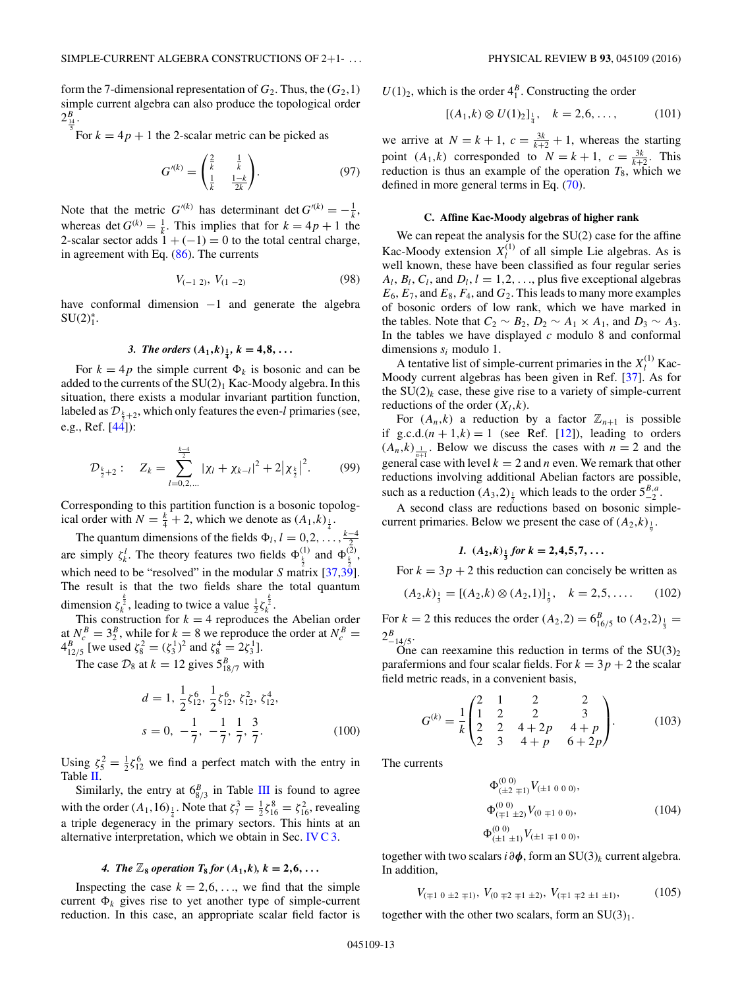<span id="page-13-0"></span>form the 7-dimensional representation of  $G_2$ . Thus, the  $(G_2,1)$ simple current algebra can also produce the topological order  $2^B_{\frac{14}{5}}.$ 

For  $k = 4p + 1$  the 2-scalar metric can be picked as

$$
G^{\prime(k)} = \begin{pmatrix} \frac{2}{k} & \frac{1}{k} \\ \frac{1}{k} & \frac{1-k}{2k} \end{pmatrix} . \tag{97}
$$

Note that the metric  $G^{(k)}$  has determinant det  $G^{(k)} = -\frac{1}{k}$ , whereas det  $G^{(k)} = \frac{1}{k}$ . This implies that for  $k = 4p + 1$  the 2-scalar sector adds  $1 + (-1) = 0$  to the total central charge, in agreement with Eq. [\(86\)](#page-12-0). The currents

$$
V_{(-1\ 2)},\ V_{(1\ -2)}\tag{98}
$$

have conformal dimension −1 and generate the algebra  $SU(2)_1^*$ .

3. The orders 
$$
(A_1,k)_{\frac{1}{4}}
$$
,  $k = 4,8,...$ 

For  $k = 4p$  the simple current  $\Phi_k$  is bosonic and can be added to the currents of the  $SU(2)_1$  Kac-Moody algebra. In this situation, there exists a modular invariant partition function, labeled as  $\mathcal{D}_{\frac{k}{2}+2}$ , which only features the even-*l* primaries (see, e.g., Ref.  $[44]$ :

$$
\mathcal{D}_{\frac{k}{2}+2}: \quad Z_k = \sum_{l=0,2,...}^{\frac{k-4}{2}} |\chi_l + \chi_{k-l}|^2 + 2|\chi_{\frac{k}{2}}|^2. \tag{99}
$$

Corresponding to this partition function is a bosonic topological order with  $N = \frac{k}{4} + 2$ , which we denote as  $(A_1, k)_{\frac{1}{4}}$ .

The quantum dimensions of the fields  $\Phi_l$ ,  $l = 0, 2, \ldots, \frac{k-4}{2}$ are simply  $\zeta_k^l$ . The theory features two fields  $\Phi_{\frac{k}{2}}^{(1)}$  and  $\Phi_{\frac{k}{2}}^{(2)}$ , which need to be "resolved" in the modular *S* matrix  $[37,39]$ . The result is that the two fields share the total quantum dimension  $\zeta_k^{\frac{k}{2}}$ , leading to twice a value  $\frac{1}{2}\zeta_k^{\frac{k}{2}}$ .

This construction for  $k = 4$  reproduces the Abelian order at  $N_c^B = 3_2^B$ , while for  $k = 8$  we reproduce the order at  $N_c^B =$  $4_{12/5}^B$  [we used  $\zeta_8^2 = (\zeta_3^1)^2$  and  $\zeta_8^4 = 2\zeta_3^1$ ].

The case  $\mathcal{D}_8$  at  $k = 12$  gives  $5^B_{18/7}$  with

$$
d = 1, \frac{1}{2}\zeta_{12}^{6}, \frac{1}{2}\zeta_{12}^{6}, \zeta_{12}^{2}, \zeta_{12}^{4},
$$
  

$$
s = 0, -\frac{1}{7}, -\frac{1}{7}, \frac{1}{7}, \frac{3}{7}.
$$
 (100)

Using  $\zeta_5^2 = \frac{1}{2}\zeta_{12}^6$  we find a perfect match with the entry in Table  $\overline{II}$ .

Similarly, the entry at  $6_{8/3}^B$  in Table [III](#page-3-0) is found to agree with the order  $(A_1, 16)_{\frac{1}{4}}$ . Note that  $\zeta_7^3 = \frac{1}{2}\zeta_{16}^8 = \zeta_{16}^2$ , revealing a triple degeneracy in the primary sectors. This hints at an alternative interpretation, which we obtain in Sec. [IV C 3.](#page-14-0)

### *4. The*  $\mathbb{Z}_8$  *operation*  $T_8$  *for*  $(A_1, k)$ *,*  $k = 2, 6, \ldots$

Inspecting the case  $k = 2, 6, \ldots$ , we find that the simple current  $\Phi_k$  gives rise to yet another type of simple-current reduction. In this case, an appropriate scalar field factor is  $U(1)_2$ , which is the order  $4_1^B$ . Constructing the order

$$
[(A_1,k)\otimes U(1)_2]_{\frac{1}{4}}, \quad k=2,6,\ldots,\tag{101}
$$

we arrive at  $N = k + 1$ ,  $c = \frac{3k}{k+2} + 1$ , whereas the starting point  $(A_1,k)$  corresponded to  $N = k + 1$ ,  $c = \frac{3k}{k+2}$ . This reduction is thus an example of the operation  $T_8$ , which we defined in more general terms in Eq. [\(70\)](#page-10-0).

#### **C. Affine Kac-Moody algebras of higher rank**

We can repeat the analysis for the SU(2) case for the affine Kac-Moody extension  $X_l^{(1)}$  of all simple Lie algebras. As is well known, these have been classified as four regular series  $A_l$ ,  $B_l$ ,  $C_l$ , and  $D_l$ ,  $l = 1, 2, \ldots$ , plus five exceptional algebras  $E_6$ ,  $E_7$ , and  $E_8$ ,  $F_4$ , and  $G_2$ . This leads to many more examples of bosonic orders of low rank, which we have marked in the tables. Note that  $C_2 \sim B_2$ ,  $D_2 \sim A_1 \times A_1$ , and  $D_3 \sim A_3$ . In the tables we have displayed *c* modulo 8 and conformal dimensions *si* modulo 1.

A tentative list of simple-current primaries in the  $X_l^{(1)}$  Kac-Moody current algebras has been given in Ref. [\[37\]](#page-17-0). As for the  $SU(2)_k$  case, these give rise to a variety of simple-current reductions of the order  $(X_l, k)$ .

For  $(A_n, k)$  a reduction by a factor  $\mathbb{Z}_{n+1}$  is possible if g.c.d. $(n + 1, k) = 1$  (see Ref. [\[12\]](#page-17-0)), leading to orders  $(A_n, k)$ <sub> $\frac{1}{n+1}$ </sub>. Below we discuss the cases with  $n = 2$  and the general case with level  $k = 2$  and *n* even. We remark that other reductions involving additional Abelian factors are possible, such as a reduction  $(A_3, 2)_{\frac{1}{2}}$  which leads to the order  $5^{B,a}_{-2}$ .

A second class are reductions based on bosonic simplecurrent primaries. Below we present the case of  $(A_2,k)_{\frac{1}{9}}$ .

# *1.*  $(A_2,k)$  *i*<sub> $\frac{1}{3}$  *for*  $k = 2,4,5,7, \ldots$ </sub>

For  $k = 3p + 2$  this reduction can concisely be written as

$$
(A_2,k)_{\frac{1}{3}} = [(A_2,k)\otimes (A_2,1)]_{\frac{1}{9}}, \quad k=2,5,\ldots \quad (102)
$$

For  $k = 2$  this reduces the order  $(A_2, 2) = 6^{B}_{16/5}$  to  $(A_2, 2)_{\frac{1}{3}} =$  $2^B_{-14/5}$ .

One can reexamine this reduction in terms of the  $SU(3)_2$ parafermions and four scalar fields. For  $k = 3p + 2$  the scalar field metric reads, in a convenient basis,

$$
G^{(k)} = \frac{1}{k} \begin{pmatrix} 2 & 1 & 2 & 2 \\ 1 & 2 & 2 & 3 \\ 2 & 2 & 4+2p & 4+p \\ 2 & 3 & 4+p & 6+2p \end{pmatrix}.
$$
 (103)

The currents

$$
\Phi_{(\pm 2\mp 1)}^{(0\ 0)} V_{(\pm 1\ 0\ 0\ 0)},
$$
  
\n
$$
\Phi_{(\mp 1\ \pm 2)}^{(0\ 0)} V_{(0\ \mp 1\ 0\ 0)},
$$
  
\n
$$
\Phi_{(\pm 1\ \pm 1)}^{(0\ 0)} V_{(\pm 1\ \mp 1\ 0\ 0)},
$$
\n(104)

together with two scalars *i∂φ*, form an SU(3)*<sup>k</sup>* current algebra. In addition,

$$
V_{(\mp 1 \ 0 \ \pm 2 \ \mp 1)},\ V_{(0 \ \mp 2 \ \mp 1 \ \pm 2)},\ V_{(\mp 1 \ \mp 2 \ \pm 1 \ \pm 1)},\tag{105}
$$

together with the other two scalars, form an  $SU(3)_1$ .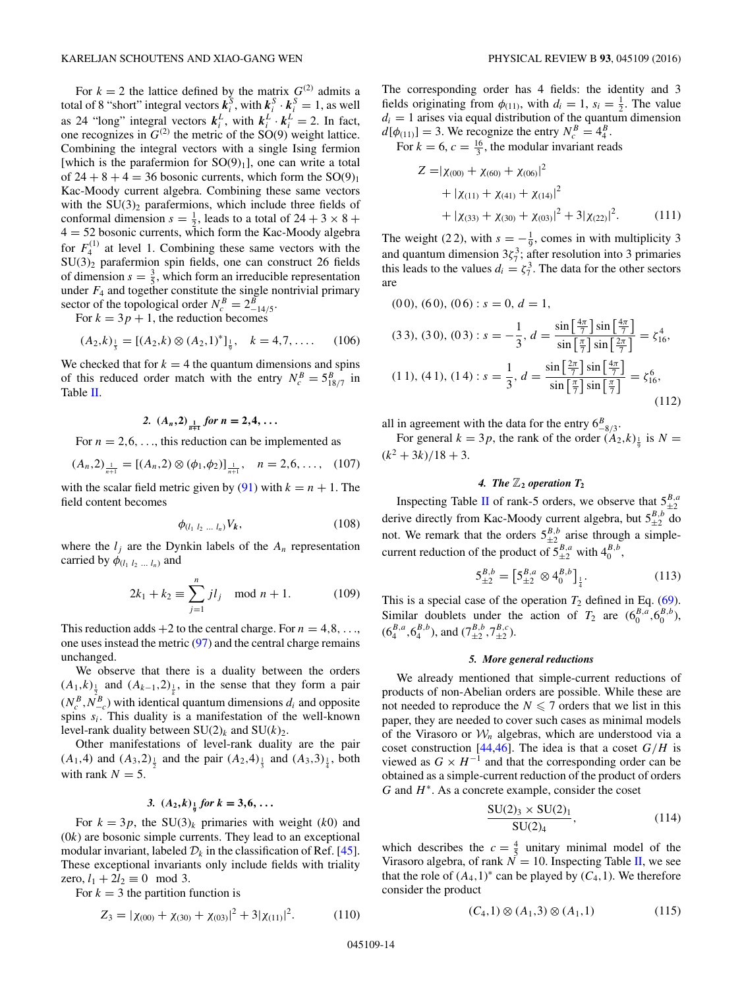<span id="page-14-0"></span>For  $k = 2$  the lattice defined by the matrix  $G^{(2)}$  admits a total of 8 "short" integral vectors  $\mathbf{k}_i^S$ , with  $\mathbf{k}_i^S \cdot \mathbf{k}_i^S = 1$ , as well as 24 "long" integral vectors  $k_i^L$ , with  $k_i^L \cdot k_i^L = 2$ . In fact, one recognizes in  $G^{(2)}$  the metric of the SO(9) weight lattice. Combining the integral vectors with a single Ising fermion [which is the parafermion for  $SO(9)_1$ ], one can write a total of  $24 + 8 + 4 = 36$  bosonic currents, which form the  $SO(9)_1$ Kac-Moody current algebra. Combining these same vectors with the  $SU(3)_2$  parafermions, which include three fields of conformal dimension  $s = \frac{1}{2}$ , leads to a total of  $24 + 3 \times 8 +$  $4 = 52$  bosonic currents, which form the Kac-Moody algebra for  $F_4^{(1)}$  at level 1. Combining these same vectors with the  $SU(3)_2$  parafermion spin fields, one can construct 26 fields of dimension  $s = \frac{3}{5}$ , which form an irreducible representation under  $F_4$  and together constitute the single nontrivial primary sector of the topological order  $N_c^B = 2_{-14/5}^B$ .

For  $k = 3p + 1$ , the reduction becomes

$$
(A_2,k)_{\frac{1}{3}} = [(A_2,k) \otimes (A_2,1)^*]_{\frac{1}{9}}, \quad k = 4,7, \dots \quad (106)
$$

We checked that for  $k = 4$  the quantum dimensions and spins of this reduced order match with the entry  $N_c^B = 5_{18/7}^B$  in Table [II.](#page-2-0)

# 2.  $(A_n, 2)$ <sub> $\frac{1}{n+1}$ </sub> for  $n = 2, 4, ...$

For  $n = 2, 6, \ldots$ , this reduction can be implemented as

$$
(A_n,2)_{\frac{1}{n+1}} = [(A_n,2) \otimes (\phi_1,\phi_2)]_{\frac{1}{n+1}}, \quad n=2,6,\ldots, \quad (107)
$$

with the scalar field metric given by [\(91\)](#page-12-0) with  $k = n + 1$ . The field content becomes

$$
\phi_{(l_1 l_2 \ldots l_n)} V_k, \qquad (108)
$$

where the  $l_i$  are the Dynkin labels of the  $A_n$  representation carried by  $\phi_{(l_1 l_2 ... l_n)}$  and

$$
2k_1 + k_2 \equiv \sum_{j=1}^{n} j l_j \mod n + 1.
$$
 (109)

This reduction adds  $+2$  to the central charge. For  $n = 4, 8, \ldots$ , one uses instead the metric [\(97\)](#page-13-0) and the central charge remains unchanged.

We observe that there is a duality between the orders  $(A_1,k)$ <sub> $\frac{1}{2}$ </sub> and  $(A_{k-1},2)$ <sub> $\frac{1}{k}$ </sub>, in the sense that they form a pair  $(N_c^B, N_{-c}^B)$  with identical quantum dimensions  $d_i$  and opposite spins *si*. This duality is a manifestation of the well-known level-rank duality between  $SU(2)_k$  and  $SU(k)_2$ .

Other manifestations of level-rank duality are the pair  $(A_1, 4)$  and  $(A_3, 2)_{\frac{1}{2}}$  and the pair  $(A_2, 4)_{\frac{1}{3}}$  and  $(A_3, 3)_{\frac{1}{4}}$ , both with rank  $N = 5$ .

# *3.*  $(A_2,k)$ <sub> $\frac{1}{9}$ </sub> for  $k = 3,6,...$

For  $k = 3p$ , the SU(3)<sub>k</sub> primaries with weight (k0) and (0*k*) are bosonic simple currents. They lead to an exceptional modular invariant, labeled  $\mathcal{D}_k$  in the classification of Ref. [\[45\]](#page-17-0). These exceptional invariants only include fields with triality  $zero, l_1 + 2l_2 \equiv 0 \mod 3.$ 

For  $k = 3$  the partition function is

$$
Z_3 = |\chi_{(00)} + \chi_{(30)} + \chi_{(03)}|^2 + 3|\chi_{(11)}|^2. \tag{110}
$$

The corresponding order has 4 fields: the identity and 3 fields originating from  $\phi_{(11)}$ , with  $d_i = 1$ ,  $s_i = \frac{1}{2}$ . The value  $d_i = 1$  arises via equal distribution of the quantum dimension  $d[\phi_{(11)}] = 3$ . We recognize the entry  $N_c^B = 4_4^B$ .

For  $k = 6$ ,  $c = \frac{16}{3}$ , the modular invariant reads

$$
Z = |\chi_{(00)} + \chi_{(60)} + \chi_{(06)}|^2
$$
  
+ |\chi\_{(11)} + \chi\_{(41)} + \chi\_{(14)}|^2  
+ |\chi\_{(33)} + \chi\_{(30)} + \chi\_{(03)}|^2 + 3|\chi\_{(22)}|^2. (111)

The weight (22), with  $s = -\frac{1}{9}$ , comes in with multiplicity 3 and quantum dimension  $3\zeta_7^3$ ; after resolution into 3 primaries this leads to the values  $d_i = \zeta_7^3$ . The data for the other sectors are

$$
(00), (60), (06) : s = 0, d = 1,
$$

$$
(3\ 3), (3\ 0), (0\ 3): s = -\frac{1}{3}, d = \frac{\sin\left[\frac{4\pi}{7}\right] \sin\left[\frac{4\pi}{7}\right]}{\sin\left[\frac{\pi}{7}\right] \sin\left[\frac{2\pi}{7}\right]} = \zeta_{16}^4,
$$
\n
$$
(1\ 1), (4\ 1), (1\ 4): s = \frac{1}{3}, d = \frac{\sin\left[\frac{2\pi}{7}\right] \sin\left[\frac{4\pi}{7}\right]}{\sin\left[\frac{\pi}{7}\right] \sin\left[\frac{\pi}{7}\right]} = \zeta_{16}^6,
$$
\n
$$
(112)
$$

all in agreement with the data for the entry  $6^{B}_{-8/3}$ .

For general  $k = 3p$ , the rank of the order  $(A_2, k)$ <sub> $\frac{1}{9}$ </sub> is  $N =$  $(k^2 + 3k)/18 + 3$ .

## 4. The  $\mathbb{Z}_2$  operation  $T_2$

Inspecting Table [II](#page-2-0) of rank-5 orders, we observe that  $5^{B,a}_{\pm 2}$ derive directly from Kac-Moody current algebra, but  $5^{B,b}_{\pm 2}$  do not. We remark that the orders  $5^{B,b}_{\pm 2}$  arise through a simplecurrent reduction of the product of  $5^{B,a}_{\pm 2}$  with  $4^{B,b}_0$ ,

$$
5_{\pm 2}^{B,b} = \left[ 5_{\pm 2}^{B,a} \otimes 4_0^{B,b} \right]_{\frac{1}{4}}.
$$
 (113)

This is a special case of the operation  $T_2$  defined in Eq. [\(69\)](#page-10-0). Similar doublets under the action of  $T_2$  are  $(6_0^{B,a}, 6_0^{B,b})$ ,  $(6_4^{B,a}, 6_4^{B,b})$ , and  $(7_{\pm 2}^{B,b}, 7_{\pm 2}^{B,c})$ .

#### *5. More general reductions*

We already mentioned that simple-current reductions of products of non-Abelian orders are possible. While these are not needed to reproduce the  $N \le 7$  orders that we list in this paper, they are needed to cover such cases as minimal models of the Virasoro or  $W_n$  algebras, which are understood via a coset construction  $[44, 46]$ . The idea is that a coset  $G/H$  is viewed as  $G \times H^{-1}$  and that the corresponding order can be obtained as a simple-current reduction of the product of orders *G* and *H*<sup>∗</sup>. As a concrete example, consider the coset

$$
\frac{\text{SU}(2)_3 \times \text{SU}(2)_1}{\text{SU}(2)_4},\tag{114}
$$

which describes the  $c = \frac{4}{5}$  unitary minimal model of the Virasoro algebra, of rank  $N = 10$ . Inspecting Table [II,](#page-2-0) we see that the role of  $(A_4,1)^*$  can be played by  $(C_4,1)$ . We therefore consider the product

$$
(C_4,1) \otimes (A_1,3) \otimes (A_1,1) \tag{115}
$$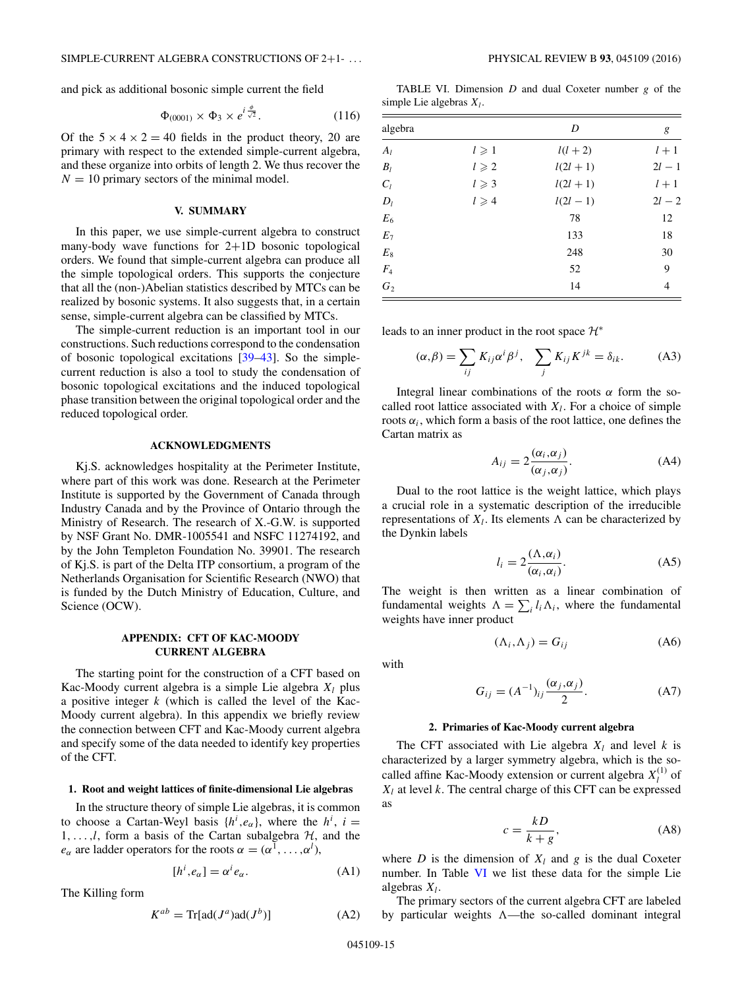and pick as additional bosonic simple current the field

$$
\Phi_{(0001)} \times \Phi_3 \times e^{i\frac{\phi}{\sqrt{2}}}.
$$
\n(116)

Of the  $5 \times 4 \times 2 = 40$  fields in the product theory, 20 are primary with respect to the extended simple-current algebra, and these organize into orbits of length 2. We thus recover the  $N = 10$  primary sectors of the minimal model.

#### **V. SUMMARY**

In this paper, we use simple-current algebra to construct many-body wave functions for 2+1D bosonic topological orders. We found that simple-current algebra can produce all the simple topological orders. This supports the conjecture that all the (non-)Abelian statistics described by MTCs can be realized by bosonic systems. It also suggests that, in a certain sense, simple-current algebra can be classified by MTCs.

The simple-current reduction is an important tool in our constructions. Such reductions correspond to the condensation of bosonic topological excitations [\[39–43\]](#page-17-0). So the simplecurrent reduction is also a tool to study the condensation of bosonic topological excitations and the induced topological phase transition between the original topological order and the reduced topological order.

#### **ACKNOWLEDGMENTS**

Kj.S. acknowledges hospitality at the Perimeter Institute, where part of this work was done. Research at the Perimeter Institute is supported by the Government of Canada through Industry Canada and by the Province of Ontario through the Ministry of Research. The research of X.-G.W. is supported by NSF Grant No. DMR-1005541 and NSFC 11274192, and by the John Templeton Foundation No. 39901. The research of Kj.S. is part of the Delta ITP consortium, a program of the Netherlands Organisation for Scientific Research (NWO) that is funded by the Dutch Ministry of Education, Culture, and Science (OCW).

## **APPENDIX: CFT OF KAC-MOODY CURRENT ALGEBRA**

The starting point for the construction of a CFT based on Kac-Moody current algebra is a simple Lie algebra  $X_l$  plus a positive integer *k* (which is called the level of the Kac-Moody current algebra). In this appendix we briefly review the connection between CFT and Kac-Moody current algebra and specify some of the data needed to identify key properties of the CFT.

#### **1. Root and weight lattices of finite-dimensional Lie algebras**

In the structure theory of simple Lie algebras, it is common to choose a Cartan-Weyl basis  $\{h^i, e_\alpha\}$ , where the  $h^i$ ,  $i =$  $1, \ldots, l$ , form a basis of the Cartan subalgebra  $H$ , and the *e<sub>α</sub>* are ladder operators for the roots  $\alpha = (\alpha^1, \dots, \alpha^l)$ ,

$$
[h^i, e_\alpha] = \alpha^i e_\alpha. \tag{A1}
$$

The Killing form

$$
K^{ab} = \text{Tr}[\text{ad}(J^a)\text{ad}(J^b)] \tag{A2}
$$

TABLE VI. Dimension *D* and dual Coxeter number *g* of the simple Lie algebras  $X_l$ .

| algebra         |                 | D           | g        |
|-----------------|-----------------|-------------|----------|
| $A_l$           | $l \geqslant 1$ | $l(l+2)$    | $l+1$    |
| $B_l$           | $l \geqslant 2$ | $l(2l + 1)$ | $2l - 1$ |
| $C_l$           | $l \geqslant 3$ | $l(2l + 1)$ | $l+1$    |
| $D_l$           | $l \geqslant 4$ | $l(2l - 1)$ | $2l - 2$ |
| $E_6$           |                 | 78          | 12       |
| $\mathcal{E}_7$ |                 | 133         | 18       |
| $E_{\rm 8}$     |                 | 248         | 30       |
| $F_4$           |                 | 52          | 9        |
| $G_2$           |                 | 14          | 4        |

leads to an inner product in the root space  $\mathcal{H}^*$ 

$$
(\alpha, \beta) = \sum_{ij} K_{ij} \alpha^i \beta^j, \quad \sum_j K_{ij} K^{jk} = \delta_{ik}.
$$
 (A3)

Integral linear combinations of the roots  $\alpha$  form the socalled root lattice associated with  $X_l$ . For a choice of simple roots  $\alpha_i$ , which form a basis of the root lattice, one defines the Cartan matrix as

$$
A_{ij} = 2 \frac{(\alpha_i, \alpha_j)}{(\alpha_j, \alpha_j)}.
$$
 (A4)

Dual to the root lattice is the weight lattice, which plays a crucial role in a systematic description of the irreducible representations of  $X_l$ . Its elements  $\Lambda$  can be characterized by the Dynkin labels

$$
l_i = 2 \frac{(\Lambda, \alpha_i)}{(\alpha_i, \alpha_i)}.
$$
 (A5)

The weight is then written as a linear combination of fundamental weights  $\Lambda = \sum_i l_i \Lambda_i$ , where the fundamental weights have inner product

$$
(\Lambda_i, \Lambda_j) = G_{ij} \tag{A6}
$$

with

$$
G_{ij} = (A^{-1})_{ij} \frac{(\alpha_j, \alpha_j)}{2}.
$$
 (A7)

#### **2. Primaries of Kac-Moody current algebra**

The CFT associated with Lie algebra  $X_l$  and level  $k$  is characterized by a larger symmetry algebra, which is the socalled affine Kac-Moody extension or current algebra  $X_l^{(1)}$  of  $X_l$  at level  $k$ . The central charge of this CFT can be expressed as

$$
c = \frac{kD}{k+g},\tag{A8}
$$

where *D* is the dimension of  $X_l$  and *g* is the dual Coxeter number. In Table VI we list these data for the simple Lie algebras *Xl*.

The primary sectors of the current algebra CFT are labeled by particular weights  $\Lambda$ —the so-called dominant integral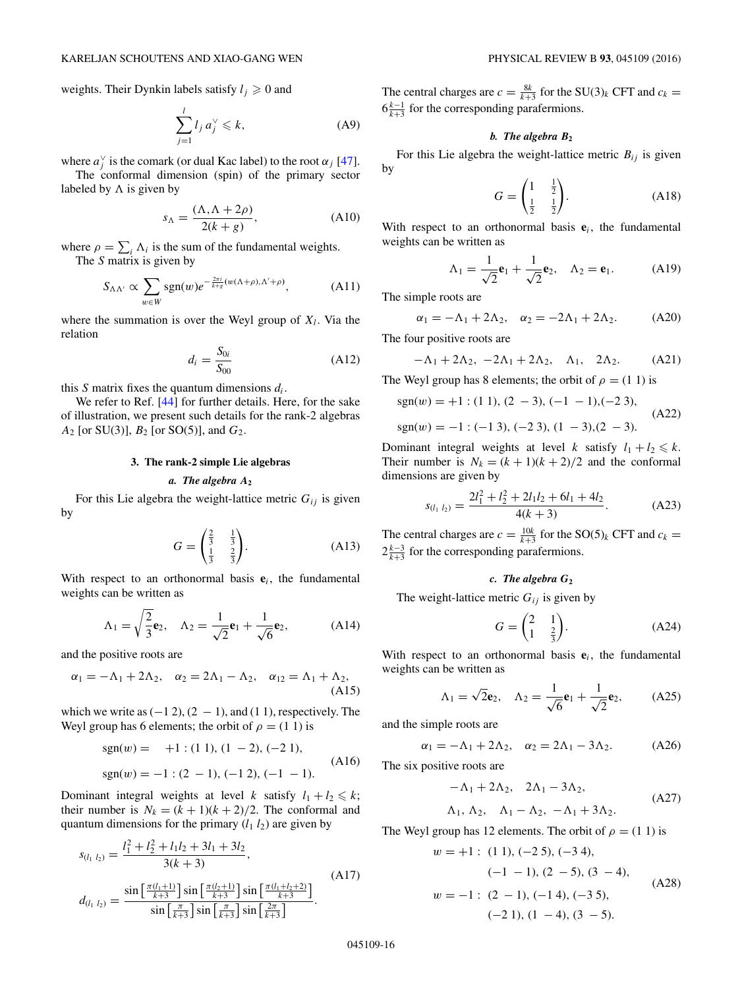weights. Their Dynkin labels satisfy  $l_j \geq 0$  and

$$
\sum_{j=1}^{l} l_j a_j^{\vee} \leq k,\tag{A9}
$$

where  $a_j^{\vee}$  is the comark (or dual Kac label) to the root  $\alpha_j$  [\[47\]](#page-17-0).

The conformal dimension (spin) of the primary sector labeled by  $\Lambda$  is given by

$$
s_{\Lambda} = \frac{(\Lambda, \Lambda + 2\rho)}{2(k+g)},
$$
 (A10)

where  $\rho = \sum_i \Lambda_i$  is the sum of the fundamental weights. The *S* matrix is given by

$$
S_{\Lambda\Lambda'} \propto \sum_{w \in W} \text{sgn}(w) e^{-\frac{2\pi i}{k+g}(w(\Lambda+\rho), \Lambda'+\rho)}, \tag{A11}
$$

where the summation is over the Weyl group of  $X_l$ . Via the relation

$$
d_i = \frac{S_{0i}}{S_{00}} \tag{A12}
$$

this *S* matrix fixes the quantum dimensions *di*.

We refer to Ref. [\[44\]](#page-17-0) for further details. Here, for the sake of illustration, we present such details for the rank-2 algebras *A*<sup>2</sup> [or SU(3)], *B*<sup>2</sup> [or SO(5)], and *G*2.

## **3. The rank-2 simple Lie algebras**

## *a. The algebra A***<sup>2</sup>**

For this Lie algebra the weight-lattice metric  $G_{ij}$  is given by

$$
G = \begin{pmatrix} \frac{2}{3} & \frac{1}{3} \\ \frac{1}{3} & \frac{2}{3} \end{pmatrix}.
$$
 (A13)

With respect to an orthonormal basis **e***i*, the fundamental weights can be written as

$$
\Lambda_1 = \sqrt{\frac{2}{3}} \mathbf{e}_2, \quad \Lambda_2 = \frac{1}{\sqrt{2}} \mathbf{e}_1 + \frac{1}{\sqrt{6}} \mathbf{e}_2,
$$
\n(A14)

and the positive roots are

$$
\alpha_1 = -\Lambda_1 + 2\Lambda_2, \quad \alpha_2 = 2\Lambda_1 - \Lambda_2, \quad \alpha_{12} = \Lambda_1 + \Lambda_2,
$$
\n(A15)

which we write as  $(-12)$ ,  $(2 - 1)$ , and  $(1 1)$ , respectively. The Weyl group has 6 elements; the orbit of  $\rho = (1\ 1)$  is

$$
sgn(w) = +1 : (1 1), (1 - 2), (-2 1),
$$
  
\n
$$
sgn(w) = -1 : (2 - 1), (-1 2), (-1 - 1).
$$
\n(A16)

Dominant integral weights at level *k* satisfy  $l_1 + l_2 \le k$ ; their number is  $N_k = (k + 1)(k + 2)/2$ . The conformal and quantum dimensions for the primary  $(l_1 l_2)$  are given by

$$
s_{(l_1 l_2)} = \frac{l_1^2 + l_2^2 + l_1 l_2 + 3l_1 + 3l_2}{3(k+3)},
$$
  
\n
$$
d_{(l_1 l_2)} = \frac{\sin\left[\frac{\pi(l_1+1)}{k+3}\right] \sin\left[\frac{\pi(l_2+1)}{k+3}\right] \sin\left[\frac{\pi(l_1+l_2+2)}{k+3}\right]}{\sin\left[\frac{\pi}{k+3}\right] \sin\left[\frac{\pi}{k+3}\right] \sin\left[\frac{2\pi}{k+3}\right]}.
$$
\n(A17)

The central charges are  $c = \frac{8k}{k+3}$  for the SU(3)<sub>k</sub> CFT and  $c_k =$  $6\frac{k-1}{k+3}$  for the corresponding parafermions.

#### *b. The algebra B***<sup>2</sup>**

For this Lie algebra the weight-lattice metric  $B_{ij}$  is given by

$$
G = \begin{pmatrix} 1 & \frac{1}{2} \\ \frac{1}{2} & \frac{1}{2} \end{pmatrix} .
$$
 (A18)

With respect to an orthonormal basis  $e_i$ , the fundamental weights can be written as

$$
\Lambda_1 = \frac{1}{\sqrt{2}} \mathbf{e}_1 + \frac{1}{\sqrt{2}} \mathbf{e}_2, \quad \Lambda_2 = \mathbf{e}_1.
$$
 (A19)

The simple roots are

$$
\alpha_1 = -\Lambda_1 + 2\Lambda_2, \quad \alpha_2 = -2\Lambda_1 + 2\Lambda_2. \tag{A20}
$$

The four positive roots are

$$
-\Lambda_1 + 2\Lambda_2, -2\Lambda_1 + 2\Lambda_2, \quad \Lambda_1, \quad 2\Lambda_2. \tag{A21}
$$

The Weyl group has 8 elements; the orbit of  $\rho = (1\ 1)$  is

$$
sgn(w) = +1 : (1 1), (2 - 3), (-1 - 1), (-2 3),
$$
  
\n
$$
sgn(w) = -1 : (-1 3), (-2 3), (1 - 3), (2 - 3).
$$
\n(A22)

Dominant integral weights at level *k* satisfy  $l_1 + l_2 \le k$ . Their number is  $N_k = (k + 1)(k + 2)/2$  and the conformal dimensions are given by

$$
s_{(l_1 l_2)} = \frac{2l_1^2 + l_2^2 + 2l_1l_2 + 6l_1 + 4l_2}{4(k+3)}.
$$
 (A23)

The central charges are  $c = \frac{10k}{k+3}$  for the SO(5)<sub>k</sub> CFT and  $c_k =$  $2\frac{k-3}{k+3}$  for the corresponding parafermions.

## *c. The algebra G***<sup>2</sup>**

The weight-lattice metric  $G_{ij}$  is given by

$$
G = \begin{pmatrix} 2 & 1 \\ 1 & \frac{2}{3} \end{pmatrix}.
$$
 (A24)

With respect to an orthonormal basis **e***i*, the fundamental weights can be written as

$$
\Lambda_1 = \sqrt{2} \mathbf{e}_2, \quad \Lambda_2 = \frac{1}{\sqrt{6}} \mathbf{e}_1 + \frac{1}{\sqrt{2}} \mathbf{e}_2,
$$
\n(A25)

and the simple roots are

$$
\alpha_1 = -\Lambda_1 + 2\Lambda_2, \quad \alpha_2 = 2\Lambda_1 - 3\Lambda_2. \tag{A26}
$$

The six positive roots are

$$
-\Lambda_1 + 2\Lambda_2, \quad 2\Lambda_1 - 3\Lambda_2,
$$
  
\n
$$
\Lambda_1, \quad \Lambda_2, \quad \Lambda_1 - \Lambda_2, \quad -\Lambda_1 + 3\Lambda_2.
$$
 (A27)

The Weyl group has 12 elements. The orbit of  $\rho = (1\ 1)$  is

$$
w = +1: (1 1), (-2 5), (-3 4),
$$
  
\n
$$
(-1 - 1), (2 - 5), (3 - 4),
$$
  
\n
$$
w = -1: (2 - 1), (-1 4), (-3 5),
$$
  
\n
$$
(-2 1), (1 - 4), (3 - 5).
$$
 (A28)